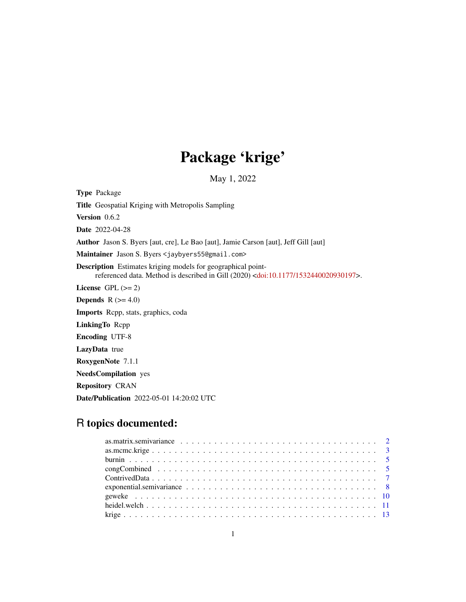# Package 'krige'

May 1, 2022

<span id="page-0-0"></span>Type Package Title Geospatial Kriging with Metropolis Sampling Version 0.6.2 Date 2022-04-28 Author Jason S. Byers [aut, cre], Le Bao [aut], Jamie Carson [aut], Jeff Gill [aut] Maintainer Jason S. Byers <jaybyers55@gmail.com> Description Estimates kriging models for geographical pointreferenced data. Method is described in Gill (2020) [<doi:10.1177/1532440020930197>](https://doi.org/10.1177/1532440020930197). License GPL  $(>= 2)$ **Depends** R  $(>= 4.0)$ Imports Rcpp, stats, graphics, coda LinkingTo Rcpp Encoding UTF-8 LazyData true RoxygenNote 7.1.1 NeedsCompilation yes Repository CRAN

## R topics documented:

Date/Publication 2022-05-01 14:20:02 UTC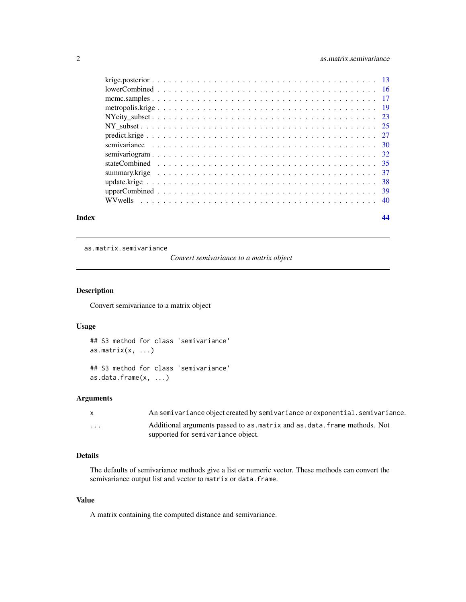<span id="page-1-0"></span>

| Index |  |
|-------|--|
|       |  |
|       |  |
|       |  |
|       |  |
|       |  |
|       |  |
|       |  |
|       |  |
|       |  |
|       |  |
|       |  |
|       |  |
|       |  |
|       |  |

as.matrix.semivariance

*Convert semivariance to a matrix object*

#### Description

Convert semivariance to a matrix object

#### Usage

```
## S3 method for class 'semivariance'
as.matrix(x, \ldots)## S3 method for class 'semivariance'
```
as.data.frame(x, ...)

#### Arguments

|         | An semivariance object created by semivariance or exponential. semivariance. |
|---------|------------------------------------------------------------------------------|
| $\cdot$ | Additional arguments passed to as matrix and as data. frame methods. Not     |
|         | supported for semivariance object.                                           |

#### Details

The defaults of semivariance methods give a list or numeric vector. These methods can convert the semivariance output list and vector to matrix or data.frame.

#### Value

A matrix containing the computed distance and semivariance.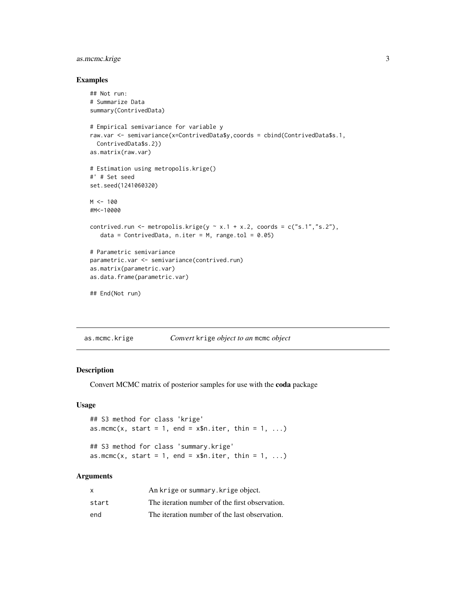#### <span id="page-2-0"></span>as.mcmc.krige 3

#### Examples

```
## Not run:
# Summarize Data
summary(ContrivedData)
# Empirical semivariance for variable y
raw.var <- semivariance(x=ContrivedData$y,coords = cbind(ContrivedData$s.1,
  ContrivedData$s.2))
as.matrix(raw.var)
# Estimation using metropolis.krige()
#' # Set seed
set.seed(1241060320)
M < - 100#M<-10000
contrived.run <- metropolis.krige(y \sim x.1 + x.2, coords = c("s.1","s.2"),
   data = ContrivedData, n.iter = M, range.tol = 0.05)
# Parametric semivariance
parametric.var <- semivariance(contrived.run)
as.matrix(parametric.var)
as.data.frame(parametric.var)
## End(Not run)
```
<span id="page-2-1"></span>as.mcmc.krige *Convert* krige *object to an* mcmc *object*

#### <span id="page-2-2"></span>Description

Convert MCMC matrix of posterior samples for use with the coda package

#### Usage

```
## S3 method for class 'krige'
as.mcmc(x, start = 1, end = x$n.iter, thin = 1, ...)
## S3 method for class 'summary.krige'
as.mcmc(x, start = 1, end = x$n.iter, thin = 1, ...)
```
#### Arguments

| x     | An krige or summary. krige object.             |
|-------|------------------------------------------------|
| start | The iteration number of the first observation. |
| end   | The iteration number of the last observation.  |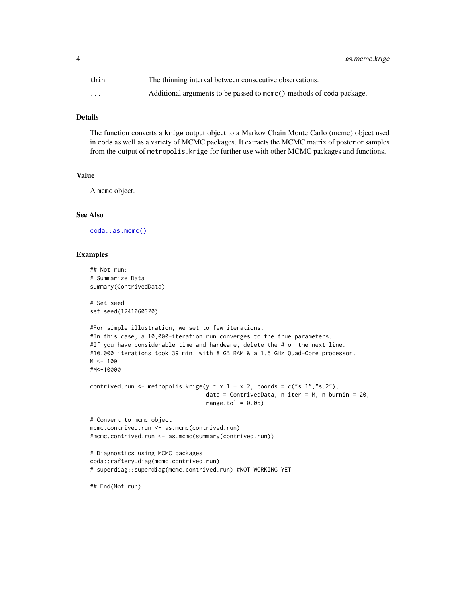<span id="page-3-0"></span>4 as.mcmc.krige

| thin     | The thinning interval between consecutive observations.               |
|----------|-----------------------------------------------------------------------|
| $\cdots$ | Additional arguments to be passed to mome () methods of coda package. |

#### Details

The function converts a krige output object to a Markov Chain Monte Carlo (mcmc) object used in coda as well as a variety of MCMC packages. It extracts the MCMC matrix of posterior samples from the output of metropolis.krige for further use with other MCMC packages and functions.

#### Value

A mcmc object.

#### See Also

[coda::as.mcmc\(\)](#page-0-0)

#### Examples

```
## Not run:
# Summarize Data
summary(ContrivedData)
# Set seed
set.seed(1241060320)
#For simple illustration, we set to few iterations.
#In this case, a 10,000-iteration run converges to the true parameters.
#If you have considerable time and hardware, delete the # on the next line.
#10,000 iterations took 39 min. with 8 GB RAM & a 1.5 GHz Quad-Core processor.
M < - 100#M<-10000
contrived.run <- metropolis.krige(y \sim x.1 + x.2, coords = c("s.1","s.2"),
                                  data = ContrivedData, n.iter = M, n.burnin = 20,
                                  range.tol = 0.05)
# Convert to mcmc object
mcmc.contrived.run <- as.mcmc(contrived.run)
#mcmc.contrived.run <- as.mcmc(summary(contrived.run))
# Diagnostics using MCMC packages
coda::raftery.diag(mcmc.contrived.run)
# superdiag::superdiag(mcmc.contrived.run) #NOT WORKING YET
## End(Not run)
```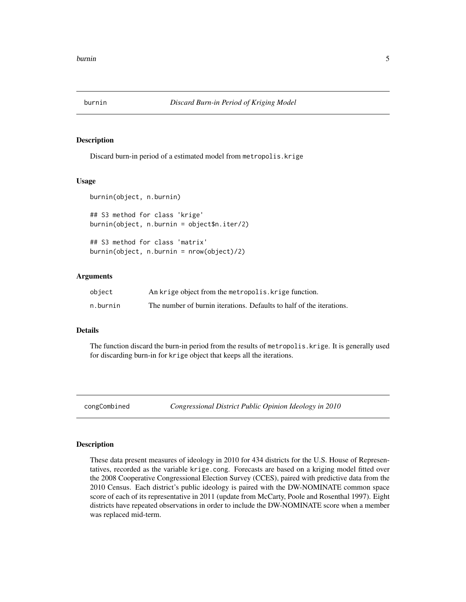<span id="page-4-0"></span>

#### Description

Discard burn-in period of a estimated model from metropolis.krige

#### Usage

```
burnin(object, n.burnin)
## S3 method for class 'krige'
burnin(object, n.burnin = object$n.iter/2)
## S3 method for class 'matrix'
burnin(object, n.burnin = nrow(object)/2)
```
#### Arguments

| object   | An krige object from the metropolis. krige function.                 |
|----------|----------------------------------------------------------------------|
| n.burnin | The number of burnin iterations. Defaults to half of the iterations. |

#### Details

The function discard the burn-in period from the results of metropolis.krige. It is generally used for discarding burn-in for krige object that keeps all the iterations.

congCombined *Congressional District Public Opinion Ideology in 2010*

#### Description

These data present measures of ideology in 2010 for 434 districts for the U.S. House of Representatives, recorded as the variable krige.cong. Forecasts are based on a kriging model fitted over the 2008 Cooperative Congressional Election Survey (CCES), paired with predictive data from the 2010 Census. Each district's public ideology is paired with the DW-NOMINATE common space score of each of its representative in 2011 (update from McCarty, Poole and Rosenthal 1997). Eight districts have repeated observations in order to include the DW-NOMINATE score when a member was replaced mid-term.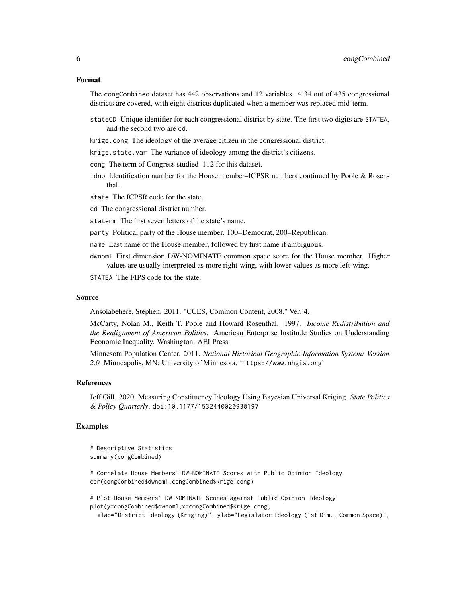#### Format

The congCombined dataset has 442 observations and 12 variables. 4 34 out of 435 congressional districts are covered, with eight districts duplicated when a member was replaced mid-term.

- stateCD Unique identifier for each congressional district by state. The first two digits are STATEA, and the second two are cd.
- krige.cong The ideology of the average citizen in the congressional district.
- krige.state.var The variance of ideology among the district's citizens.
- cong The term of Congress studied–112 for this dataset.
- idno Identification number for the House member–ICPSR numbers continued by Poole & Rosenthal.

state The ICPSR code for the state.

cd The congressional district number.

- statenm The first seven letters of the state's name.
- party Political party of the House member. 100=Democrat, 200=Republican.
- name Last name of the House member, followed by first name if ambiguous.
- dwnom1 First dimension DW-NOMINATE common space score for the House member. Higher values are usually interpreted as more right-wing, with lower values as more left-wing.

STATEA The FIPS code for the state.

#### Source

Ansolabehere, Stephen. 2011. "CCES, Common Content, 2008." Ver. 4.

McCarty, Nolan M., Keith T. Poole and Howard Rosenthal. 1997. *Income Redistribution and the Realignment of American Politics*. American Enterprise Institude Studies on Understanding Economic Inequality. Washington: AEI Press.

Minnesota Population Center. 2011. *National Historical Geographic Information System: Version 2.0.* Minneapolis, MN: University of Minnesota. 'https://www.nhgis.org'

#### References

Jeff Gill. 2020. Measuring Constituency Ideology Using Bayesian Universal Kriging. *State Politics & Policy Quarterly*. doi:10.1177/1532440020930197

#### Examples

```
# Descriptive Statistics
summary(congCombined)
```
# Correlate House Members' DW-NOMINATE Scores with Public Opinion Ideology cor(congCombined\$dwnom1,congCombined\$krige.cong)

# Plot House Members' DW-NOMINATE Scores against Public Opinion Ideology plot(y=congCombined\$dwnom1,x=congCombined\$krige.cong,

xlab="District Ideology (Kriging)", ylab="Legislator Ideology (1st Dim., Common Space)",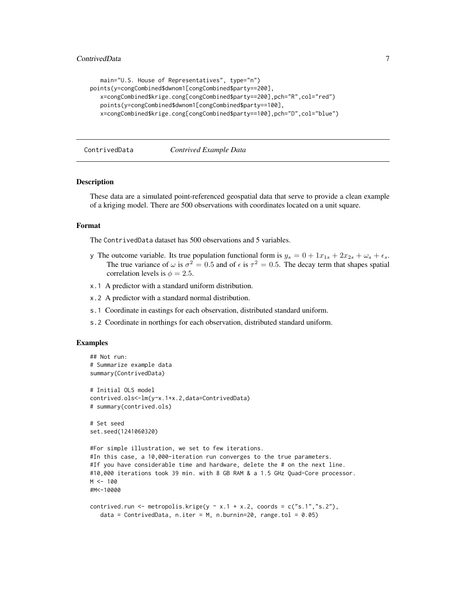```
main="U.S. House of Representatives", type="n")
points(y=congCombined$dwnom1[congCombined$party==200],
  x=congCombined$krige.cong[congCombined$party==200],pch="R",col="red")
  points(y=congCombined$dwnom1[congCombined$party==100],
   x=congCombined$krige.cong[congCombined$party==100],pch="D",col="blue")
```
ContrivedData *Contrived Example Data*

#### Description

These data are a simulated point-referenced geospatial data that serve to provide a clean example of a kriging model. There are 500 observations with coordinates located on a unit square.

#### Format

The ContrivedData dataset has 500 observations and 5 variables.

- y The outcome variable. Its true population functional form is  $y_s = 0 + 1x_{1s} + 2x_{2s} + \omega_s + \epsilon_s$ . The true variance of  $\omega$  is  $\sigma^2 = 0.5$  and of  $\epsilon$  is  $\tau^2 = 0.5$ . The decay term that shapes spatial correlation levels is  $\phi = 2.5$ .
- x.1 A predictor with a standard uniform distribution.
- x.2 A predictor with a standard normal distribution.
- s.1 Coordinate in eastings for each observation, distributed standard uniform.
- s.2 Coordinate in northings for each observation, distributed standard uniform.

#### Examples

```
## Not run:
# Summarize example data
summary(ContrivedData)
# Initial OLS model
contrived.ols<-lm(y~x.1+x.2,data=ContrivedData)
# summary(contrived.ols)
# Set seed
set.seed(1241060320)
#For simple illustration, we set to few iterations.
#In this case, a 10,000-iteration run converges to the true parameters.
#If you have considerable time and hardware, delete the # on the next line.
#10,000 iterations took 39 min. with 8 GB RAM & a 1.5 GHz Quad-Core processor.
M <- 100
#M<-10000
contrived.run <- metropolis.krige(y \sim x.1 + x.2, coords = c("s.1","s.2"),
  data = ContrivedData, n.iter = M, n.burnin=20, range.tol = 0.05)
```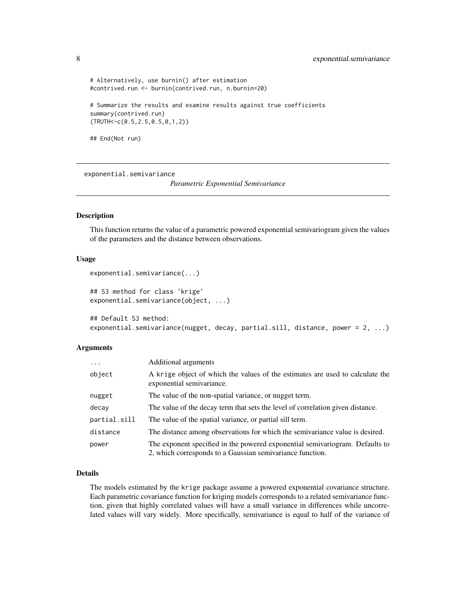```
# Alternatively, use burnin() after estimation
#contrived.run <- burnin(contrived.run, n.burnin=20)
# Summarize the results and examine results against true coefficients
summary(contrived.run)
(TRUTH<-c(0.5,2.5,0.5,0,1,2))
## End(Not run)
```
<span id="page-7-1"></span>exponential.semivariance

*Parametric Exponential Semivariance*

#### Description

This function returns the value of a parametric powered exponential semivariogram given the values of the parameters and the distance between observations.

#### Usage

```
exponential.semivariance(...)
```
## S3 method for class 'krige' exponential.semivariance(object, ...)

```
## Default S3 method:
exponential.semivariance(nugget, decay, partial.sill, distance, power = 2, ...)
```
#### Arguments

| $\ddots$     | Additional arguments                                                                                                                      |
|--------------|-------------------------------------------------------------------------------------------------------------------------------------------|
| object       | A krige object of which the values of the estimates are used to calculate the<br>exponential semivariance.                                |
| nugget       | The value of the non-spatial variance, or nugget term.                                                                                    |
| decay        | The value of the decay term that sets the level of correlation given distance.                                                            |
| partial.sill | The value of the spatial variance, or partial sill term.                                                                                  |
| distance     | The distance among observations for which the semivariance value is desired.                                                              |
| power        | The exponent specified in the powered exponential semivariogram. Defaults to<br>2, which corresponds to a Gaussian semivariance function. |

#### Details

The models estimated by the krige package assume a powered exponential covariance structure. Each parametric covariance function for kriging models corresponds to a related semivariance function, given that highly correlated values will have a small variance in differences while uncorrelated values will vary widely. More specifically, semivariance is equal to half of the variance of

<span id="page-7-0"></span>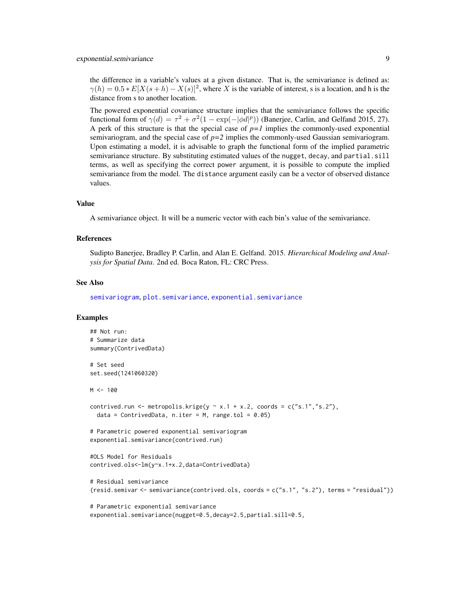<span id="page-8-0"></span>the difference in a variable's values at a given distance. That is, the semivariance is defined as:  $\gamma(h) = 0.5 * E[X(s+h) - X(s)]^2$ , where X is the variable of interest, s is a location, and h is the distance from s to another location.

The powered exponential covariance structure implies that the semivariance follows the specific functional form of  $\gamma(d) = \tau^2 + \sigma^2(1 - \exp(-|\phi d|^p))$  (Banerjee, Carlin, and Gelfand 2015, 27). A perk of this structure is that the special case of  $p=1$  implies the commonly-used exponential semivariogram, and the special case of *p=2* implies the commonly-used Gaussian semivariogram. Upon estimating a model, it is advisable to graph the functional form of the implied parametric semivariance structure. By substituting estimated values of the nugget, decay, and partial.sill terms, as well as specifying the correct power argument, it is possible to compute the implied semivariance from the model. The distance argument easily can be a vector of observed distance values.

#### Value

A semivariance object. It will be a numeric vector with each bin's value of the semivariance.

#### References

Sudipto Banerjee, Bradley P. Carlin, and Alan E. Gelfand. 2015. *Hierarchical Modeling and Analysis for Spatial Data*. 2nd ed. Boca Raton, FL: CRC Press.

#### See Also

[semivariogram](#page-31-1), [plot.semivariance](#page-31-2), [exponential.semivariance](#page-7-1)

#### Examples

```
## Not run:
# Summarize data
summary(ContrivedData)
# Set seed
set.seed(1241060320)
M < - 100contrived.run <- metropolis.krige(y \sim x.1 + x.2, coords = c("s.1","s.2"),
  data = ContrivedData, n.iter = M, range.tol = 0.05)
# Parametric powered exponential semivariogram
exponential.semivariance(contrived.run)
#OLS Model for Residuals
contrived.ols<-lm(y~x.1+x.2,data=ContrivedData)
# Residual semivariance
(resid.semivar <- semivariance(contrived.ols, coords = c("s.1", "s.2"), terms = "residual"))
# Parametric exponential semivariance
```
exponential.semivariance(nugget=0.5,decay=2.5,partial.sill=0.5,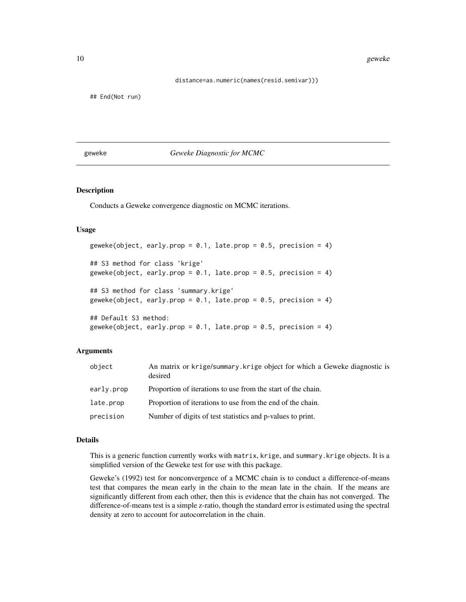<span id="page-9-0"></span>10 geweke

distance=as.numeric(names(resid.semivar)))

## End(Not run)

<span id="page-9-2"></span>geweke *Geweke Diagnostic for MCMC*

#### <span id="page-9-1"></span>Description

Conducts a Geweke convergence diagnostic on MCMC iterations.

#### Usage

```
geweke(object, early.prop = 0.1, late.prop = 0.5, precision = 4)
## S3 method for class 'krige'
geweke(object, early.prop = 0.1, late.prop = 0.5, precision = 4)
## S3 method for class 'summary.krige'
geweke(object, early.prop = 0.1, late.prop = 0.5, precision = 4)
## Default S3 method:
geweke(object, early.prop = 0.1, late.prop = 0.5, precision = 4)
```
#### Arguments

| object     | An matrix or krige/summary. krige object for which a Geweke diagnostic is<br>desired |
|------------|--------------------------------------------------------------------------------------|
| early.prop | Proportion of iterations to use from the start of the chain.                         |
| late.prop  | Proportion of iterations to use from the end of the chain.                           |
| precision  | Number of digits of test statistics and p-values to print.                           |

#### Details

This is a generic function currently works with matrix, krige, and summary.krige objects. It is a simplified version of the Geweke test for use with this package.

Geweke's (1992) test for nonconvergence of a MCMC chain is to conduct a difference-of-means test that compares the mean early in the chain to the mean late in the chain. If the means are significantly different from each other, then this is evidence that the chain has not converged. The difference-of-means test is a simple z-ratio, though the standard error is estimated using the spectral density at zero to account for autocorrelation in the chain.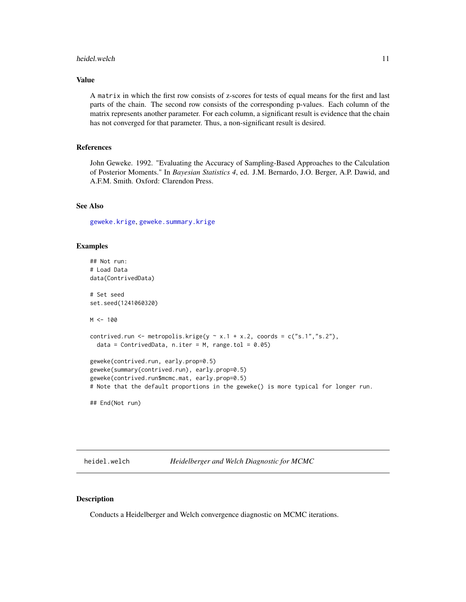#### <span id="page-10-0"></span>heidel.welch 11

#### Value

A matrix in which the first row consists of z-scores for tests of equal means for the first and last parts of the chain. The second row consists of the corresponding p-values. Each column of the matrix represents another parameter. For each column, a significant result is evidence that the chain has not converged for that parameter. Thus, a non-significant result is desired.

#### References

John Geweke. 1992. "Evaluating the Accuracy of Sampling-Based Approaches to the Calculation of Posterior Moments." In *Bayesian Statistics 4*, ed. J.M. Bernardo, J.O. Berger, A.P. Dawid, and A.F.M. Smith. Oxford: Clarendon Press.

#### See Also

[geweke.krige](#page-9-1), [geweke.summary.krige](#page-9-1)

#### Examples

```
## Not run:
# Load Data
data(ContrivedData)
# Set seed
set.seed(1241060320)
M < - 100contrived.run <- metropolis.krige(y \sim x.1 + x.2, coords = c("s.1","s.2"),
  data = ContrivedData, n.iter = M, range.tol = 0.05)
geweke(contrived.run, early.prop=0.5)
geweke(summary(contrived.run), early.prop=0.5)
geweke(contrived.run$mcmc.mat, early.prop=0.5)
# Note that the default proportions in the geweke() is more typical for longer run.
```
## End(Not run)

heidel.welch *Heidelberger and Welch Diagnostic for MCMC*

#### <span id="page-10-1"></span>Description

Conducts a Heidelberger and Welch convergence diagnostic on MCMC iterations.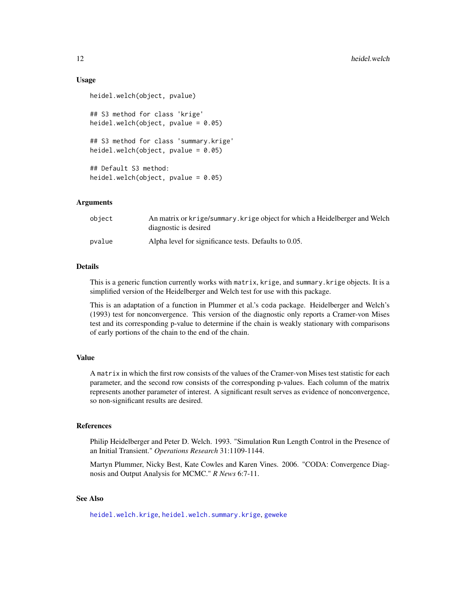#### Usage

```
heidel.welch(object, pvalue)
## S3 method for class 'krige'
heidel.welch(object, pvalue = 0.05)
## S3 method for class 'summary.krige'
heidel.welch(object, pvalue = 0.05)
## Default S3 method:
heidel.welch(object, pvalue = 0.05)
```
#### Arguments

| object | An matrix or krige/summary. krige object for which a Heidelberger and Welch<br>diagnostic is desired |
|--------|------------------------------------------------------------------------------------------------------|
| pvalue | Alpha level for significance tests. Defaults to 0.05.                                                |

#### Details

This is a generic function currently works with matrix, krige, and summary.krige objects. It is a simplified version of the Heidelberger and Welch test for use with this package.

This is an adaptation of a function in Plummer et al.'s coda package. Heidelberger and Welch's (1993) test for nonconvergence. This version of the diagnostic only reports a Cramer-von Mises test and its corresponding p-value to determine if the chain is weakly stationary with comparisons of early portions of the chain to the end of the chain.

#### Value

A matrix in which the first row consists of the values of the Cramer-von Mises test statistic for each parameter, and the second row consists of the corresponding p-values. Each column of the matrix represents another parameter of interest. A significant result serves as evidence of nonconvergence, so non-significant results are desired.

#### References

Philip Heidelberger and Peter D. Welch. 1993. "Simulation Run Length Control in the Presence of an Initial Transient." *Operations Research* 31:1109-1144.

Martyn Plummer, Nicky Best, Kate Cowles and Karen Vines. 2006. "CODA: Convergence Diagnosis and Output Analysis for MCMC." *R News* 6:7-11.

#### See Also

[heidel.welch.krige](#page-10-1), [heidel.welch.summary.krige](#page-10-1), [geweke](#page-9-2)

<span id="page-11-0"></span>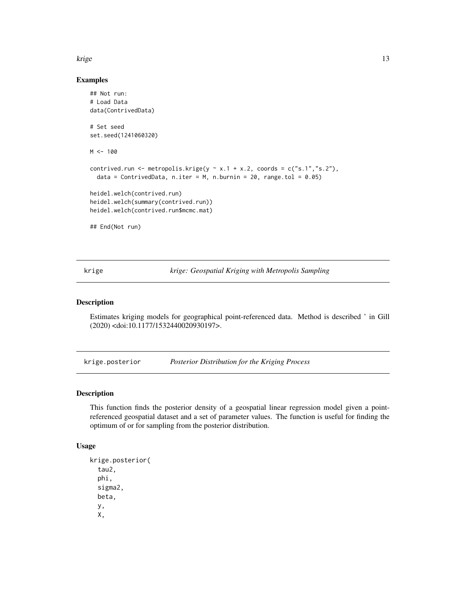#### <span id="page-12-0"></span>krige to the set of the set of the set of the set of the set of the set of the set of the set of the set of th

#### Examples

```
## Not run:
# Load Data
data(ContrivedData)
# Set seed
set.seed(1241060320)
M < - 100contrived.run <- metropolis.krige(y \sim x.1 + x.2, coords = c("s.1","s.2"),
  data = ContrivedData, n.iter = M, n.burnin = 20, range.tol = 0.05)
heidel.welch(contrived.run)
heidel.welch(summary(contrived.run))
heidel.welch(contrived.run$mcmc.mat)
## End(Not run)
```
krige *krige: Geospatial Kriging with Metropolis Sampling*

#### Description

Estimates kriging models for geographical point-referenced data. Method is described ' in Gill (2020) <doi:10.1177/1532440020930197>.

krige.posterior *Posterior Distribution for the Kriging Process*

#### Description

This function finds the posterior density of a geospatial linear regression model given a pointreferenced geospatial dataset and a set of parameter values. The function is useful for finding the optimum of or for sampling from the posterior distribution.

#### Usage

```
krige.posterior(
  tau2,
 phi,
  sigma2,
 beta,
 y,
  X,
```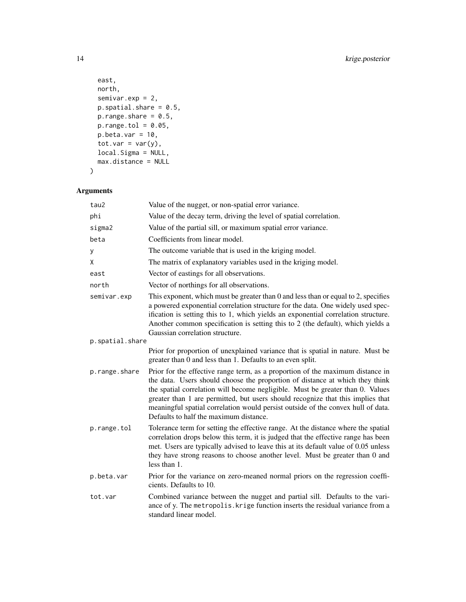```
east,
 north,
 semivar.exp = 2,
 p.\text{spatial}.\text{share} = 0.5,p.random = 0.5,
 p.random.tol = 0.05,
 p.beta.var = 10,
 tot.var = var(y),
 local.Sigma = NULL,
 max.distance = NULL
\mathcal{L}
```
### Arguments

| tau2            | Value of the nugget, or non-spatial error variance.                                                                                                                                                                                                                                                                                                                                                                                                               |
|-----------------|-------------------------------------------------------------------------------------------------------------------------------------------------------------------------------------------------------------------------------------------------------------------------------------------------------------------------------------------------------------------------------------------------------------------------------------------------------------------|
| phi             | Value of the decay term, driving the level of spatial correlation.                                                                                                                                                                                                                                                                                                                                                                                                |
| sigma2          | Value of the partial sill, or maximum spatial error variance.                                                                                                                                                                                                                                                                                                                                                                                                     |
| beta            | Coefficients from linear model.                                                                                                                                                                                                                                                                                                                                                                                                                                   |
| у               | The outcome variable that is used in the kriging model.                                                                                                                                                                                                                                                                                                                                                                                                           |
| Χ               | The matrix of explanatory variables used in the kriging model.                                                                                                                                                                                                                                                                                                                                                                                                    |
| east            | Vector of eastings for all observations.                                                                                                                                                                                                                                                                                                                                                                                                                          |
| north           | Vector of northings for all observations.                                                                                                                                                                                                                                                                                                                                                                                                                         |
| semivar.exp     | This exponent, which must be greater than 0 and less than or equal to 2, specifies<br>a powered exponential correlation structure for the data. One widely used spec-<br>ification is setting this to 1, which yields an exponential correlation structure.<br>Another common specification is setting this to 2 (the default), which yields a<br>Gaussian correlation structure.                                                                                 |
| p.spatial.share |                                                                                                                                                                                                                                                                                                                                                                                                                                                                   |
|                 | Prior for proportion of unexplained variance that is spatial in nature. Must be<br>greater than 0 and less than 1. Defaults to an even split.                                                                                                                                                                                                                                                                                                                     |
| p.range.share   | Prior for the effective range term, as a proportion of the maximum distance in<br>the data. Users should choose the proportion of distance at which they think<br>the spatial correlation will become negligible. Must be greater than 0. Values<br>greater than 1 are permitted, but users should recognize that this implies that<br>meaningful spatial correlation would persist outside of the convex hull of data.<br>Defaults to half the maximum distance. |
| p.range.tol     | Tolerance term for setting the effective range. At the distance where the spatial<br>correlation drops below this term, it is judged that the effective range has been<br>met. Users are typically advised to leave this at its default value of 0.05 unless<br>they have strong reasons to choose another level. Must be greater than 0 and<br>less than 1.                                                                                                      |
| p.beta.var      | Prior for the variance on zero-meaned normal priors on the regression coeffi-<br>cients. Defaults to 10.                                                                                                                                                                                                                                                                                                                                                          |
| tot.var         | Combined variance between the nugget and partial sill. Defaults to the vari-<br>ance of y. The metropolis. krige function inserts the residual variance from a<br>standard linear model.                                                                                                                                                                                                                                                                          |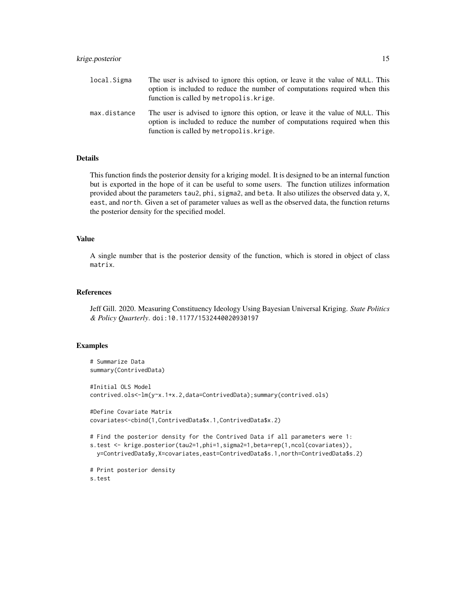#### krige.posterior 15

| local.Sigma  | The user is advised to ignore this option, or leave it the value of NULL. This<br>option is included to reduce the number of computations required when this<br>function is called by metropolis. krige. |
|--------------|----------------------------------------------------------------------------------------------------------------------------------------------------------------------------------------------------------|
| max.distance | The user is advised to ignore this option, or leave it the value of NULL. This<br>option is included to reduce the number of computations required when this<br>function is called by metropolis. krige. |

#### Details

This function finds the posterior density for a kriging model. It is designed to be an internal function but is exported in the hope of it can be useful to some users. The function utilizes information provided about the parameters tau2, phi, sigma2, and beta. It also utilizes the observed data y, X, east, and north. Given a set of parameter values as well as the observed data, the function returns the posterior density for the specified model.

#### Value

A single number that is the posterior density of the function, which is stored in object of class matrix.

#### References

Jeff Gill. 2020. Measuring Constituency Ideology Using Bayesian Universal Kriging. *State Politics & Policy Quarterly*. doi:10.1177/1532440020930197

#### Examples

```
# Summarize Data
summary(ContrivedData)
#Initial OLS Model
contrived.ols<-lm(y~x.1+x.2,data=ContrivedData);summary(contrived.ols)
#Define Covariate Matrix
covariates<-cbind(1,ContrivedData$x.1,ContrivedData$x.2)
# Find the posterior density for the Contrived Data if all parameters were 1:
s.test <- krige.posterior(tau2=1,phi=1,sigma2=1,beta=rep(1,ncol(covariates)),
 y=ContrivedData$y,X=covariates,east=ContrivedData$s.1,north=ContrivedData$s.2)
# Print posterior density
```

```
s.test
```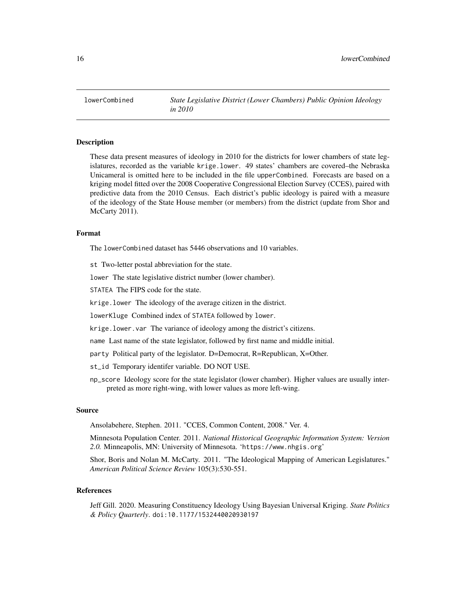<span id="page-15-0"></span>

#### Description

These data present measures of ideology in 2010 for the districts for lower chambers of state legislatures, recorded as the variable krige.lower. 49 states' chambers are covered–the Nebraska Unicameral is omitted here to be included in the file upperCombined. Forecasts are based on a kriging model fitted over the 2008 Cooperative Congressional Election Survey (CCES), paired with predictive data from the 2010 Census. Each district's public ideology is paired with a measure of the ideology of the State House member (or members) from the district (update from Shor and McCarty 2011).

#### Format

The lowerCombined dataset has 5446 observations and 10 variables.

st Two-letter postal abbreviation for the state.

lower The state legislative district number (lower chamber).

STATEA The FIPS code for the state.

krige.lower The ideology of the average citizen in the district.

lowerKluge Combined index of STATEA followed by lower.

krige.lower.var The variance of ideology among the district's citizens.

name Last name of the state legislator, followed by first name and middle initial.

party Political party of the legislator. D=Democrat, R=Republican, X=Other.

st\_id Temporary identifer variable. DO NOT USE.

np\_score Ideology score for the state legislator (lower chamber). Higher values are usually interpreted as more right-wing, with lower values as more left-wing.

#### Source

Ansolabehere, Stephen. 2011. "CCES, Common Content, 2008." Ver. 4.

Minnesota Population Center. 2011. *National Historical Geographic Information System: Version 2.0.* Minneapolis, MN: University of Minnesota. 'https://www.nhgis.org'

Shor, Boris and Nolan M. McCarty. 2011. "The Ideological Mapping of American Legislatures." *American Political Science Review* 105(3):530-551.

#### References

Jeff Gill. 2020. Measuring Constituency Ideology Using Bayesian Universal Kriging. *State Politics & Policy Quarterly*. doi:10.1177/1532440020930197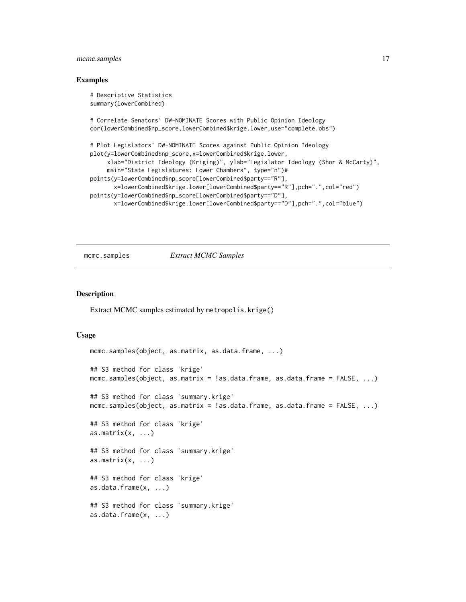#### <span id="page-16-0"></span>mcmc.samples 17

#### Examples

```
# Descriptive Statistics
summary(lowerCombined)
# Correlate Senators' DW-NOMINATE Scores with Public Opinion Ideology
cor(lowerCombined$np_score,lowerCombined$krige.lower,use="complete.obs")
# Plot Legislators' DW-NOMINATE Scores against Public Opinion Ideology
plot(y=lowerCombined$np_score,x=lowerCombined$krige.lower,
     xlab="District Ideology (Kriging)", ylab="Legislator Ideology (Shor & McCarty)",
     main="State Legislatures: Lower Chambers", type="n")#
points(y=lowerCombined$np_score[lowerCombined$party=="R"],
      x=lowerCombined$krige.lower[lowerCombined$party=="R"],pch=".",col="red")
points(y=lowerCombined$np_score[lowerCombined$party=="D"],
      x=lowerCombined$krige.lower[lowerCombined$party=="D"],pch=".",col="blue")
```
#### mcmc.samples *Extract MCMC Samples*

#### Description

Extract MCMC samples estimated by metropolis.krige()

#### Usage

```
mcmc.samples(object, as.matrix, as.data.frame, ...)
## S3 method for class 'krige'
mcmc.samples(object, as.matrix = !as.data.frame, as.data.frame = FALSE, ...)
## S3 method for class 'summary.krige'
mcmc.samples(object, as.matrix = !as.data.frame, as.data.frame = FALSE, ...)
## S3 method for class 'krige'
as.matrix(x, \ldots)## S3 method for class 'summary.krige'
as.matrix(x, \ldots)## S3 method for class 'krige'
as.data.frame(x, ...)
## S3 method for class 'summary.krige'
as.data.frame(x, ...)
```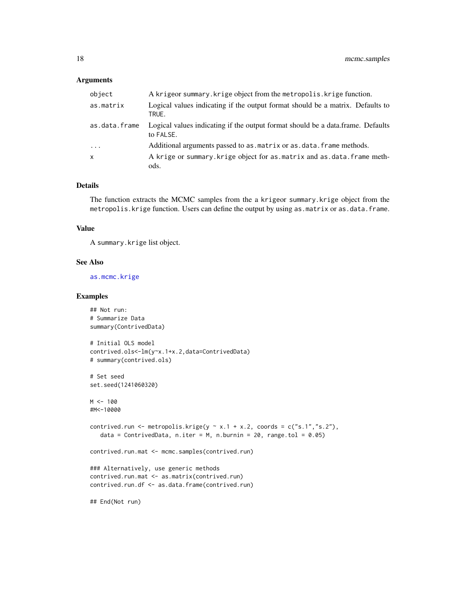#### <span id="page-17-0"></span>Arguments

| object        | A krigeor summary. krige object from the metropolis. krige function.                         |
|---------------|----------------------------------------------------------------------------------------------|
| as.matrix     | Logical values indicating if the output format should be a matrix. Defaults to<br>TRUE.      |
| as.data.frame | Logical values indicating if the output format should be a data.frame. Defaults<br>to FALSE. |
| $\cdots$      | Additional arguments passed to as . matrix or as . data. frame methods.                      |
| $\mathsf{x}$  | A krige or summary. krige object for as matrix and as data. frame meth-<br>ods.              |

#### Details

The function extracts the MCMC samples from the a krigeor summary.krige object from the metropolis.krige function. Users can define the output by using as.matrix or as.data.frame.

#### Value

A summary.krige list object.

#### See Also

[as.mcmc.krige](#page-2-1)

#### Examples

```
## Not run:
# Summarize Data
summary(ContrivedData)
# Initial OLS model
contrived.ols<-lm(y~x.1+x.2,data=ContrivedData)
# summary(contrived.ols)
# Set seed
set.seed(1241060320)
M < - 100#M<-10000
contrived.run <- metropolis.krige(y \sim x.1 + x.2, coords = c("s.1","s.2"),
   data = ContrivedData, n.iter = M, n.burnin = 20, range.tol = 0.05)
contrived.run.mat <- mcmc.samples(contrived.run)
### Alternatively, use generic methods
contrived.run.mat <- as.matrix(contrived.run)
contrived.run.df <- as.data.frame(contrived.run)
```
## End(Not run)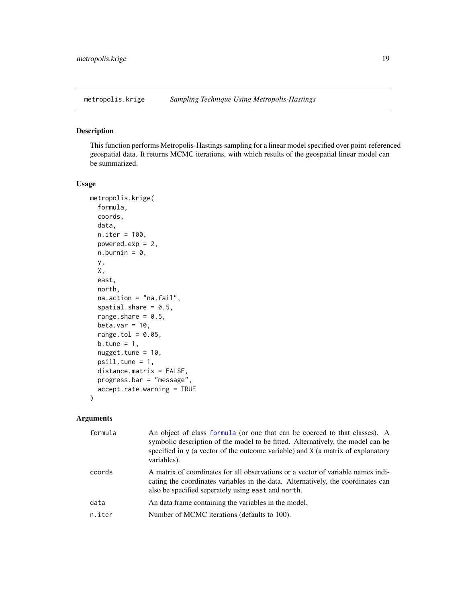<span id="page-18-0"></span>

#### Description

This function performs Metropolis-Hastings sampling for a linear model specified over point-referenced geospatial data. It returns MCMC iterations, with which results of the geospatial linear model can be summarized.

#### Usage

```
metropolis.krige(
  formula,
  coords,
  data,
  n.iter = 100,
  powered.exp = 2,
  n.burnin = 0,
 y,
  X,
  east,
  north,
  na.action = "na.fail",
  spatial.share = 0.5,
  range.share = 0.5,
  beta.var = 10,
  range.tol = 0.05,
  b.tune = 1,
  nugget.tune = 10,
  psill.tune = 1,
  distance.matrix = FALSE,
 progress.bar = "message",
  accept.rate.warning = TRUE
)
```
#### Arguments

| formula | An object of class formula (or one that can be coerced to that classes). A<br>symbolic description of the model to be fitted. Alternatively, the model can be<br>specified in y (a vector of the outcome variable) and X (a matrix of explanatory<br>variables). |
|---------|------------------------------------------------------------------------------------------------------------------------------------------------------------------------------------------------------------------------------------------------------------------|
| coords  | A matrix of coordinates for all observations or a vector of variable names indi-<br>cating the coordinates variables in the data. Alternatively, the coordinates can<br>also be specified seperately using east and north.                                       |
| data    | An data frame containing the variables in the model.                                                                                                                                                                                                             |
| n.iter  | Number of MCMC iterations (defaults to 100).                                                                                                                                                                                                                     |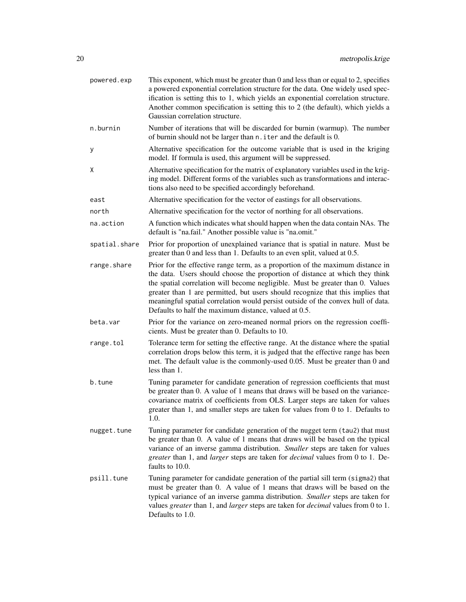| powered.exp   | This exponent, which must be greater than 0 and less than or equal to 2, specifies<br>a powered exponential correlation structure for the data. One widely used spec-<br>ification is setting this to 1, which yields an exponential correlation structure.<br>Another common specification is setting this to 2 (the default), which yields a<br>Gaussian correlation structure.                                                                                                |
|---------------|----------------------------------------------------------------------------------------------------------------------------------------------------------------------------------------------------------------------------------------------------------------------------------------------------------------------------------------------------------------------------------------------------------------------------------------------------------------------------------|
| n.burnin      | Number of iterations that will be discarded for burnin (warmup). The number<br>of burnin should not be larger than n. iter and the default is 0.                                                                                                                                                                                                                                                                                                                                 |
| у             | Alternative specification for the outcome variable that is used in the kriging<br>model. If formula is used, this argument will be suppressed.                                                                                                                                                                                                                                                                                                                                   |
| Χ             | Alternative specification for the matrix of explanatory variables used in the krig-<br>ing model. Different forms of the variables such as transformations and interac-<br>tions also need to be specified accordingly beforehand.                                                                                                                                                                                                                                               |
| east          | Alternative specification for the vector of eastings for all observations.                                                                                                                                                                                                                                                                                                                                                                                                       |
| north         | Alternative specification for the vector of northing for all observations.                                                                                                                                                                                                                                                                                                                                                                                                       |
| na.action     | A function which indicates what should happen when the data contain NAs. The<br>default is "na.fail." Another possible value is "na.omit."                                                                                                                                                                                                                                                                                                                                       |
| spatial.share | Prior for proportion of unexplained variance that is spatial in nature. Must be<br>greater than 0 and less than 1. Defaults to an even split, valued at 0.5.                                                                                                                                                                                                                                                                                                                     |
| range.share   | Prior for the effective range term, as a proportion of the maximum distance in<br>the data. Users should choose the proportion of distance at which they think<br>the spatial correlation will become negligible. Must be greater than 0. Values<br>greater than 1 are permitted, but users should recognize that this implies that<br>meaningful spatial correlation would persist outside of the convex hull of data.<br>Defaults to half the maximum distance, valued at 0.5. |
| beta.var      | Prior for the variance on zero-meaned normal priors on the regression coeffi-<br>cients. Must be greater than 0. Defaults to 10.                                                                                                                                                                                                                                                                                                                                                 |
| range.tol     | Tolerance term for setting the effective range. At the distance where the spatial<br>correlation drops below this term, it is judged that the effective range has been<br>met. The default value is the commonly-used 0.05. Must be greater than 0 and<br>less than 1.                                                                                                                                                                                                           |
| b.tune        | Tuning parameter for candidate generation of regression coefficients that must<br>be greater than 0. A value of 1 means that draws will be based on the variance-<br>covariance matrix of coefficients from OLS. Larger steps are taken for values<br>greater than 1, and smaller steps are taken for values from 0 to 1. Defaults to<br>1.0.                                                                                                                                    |
| nugget.tune   | Tuning parameter for candidate generation of the nugget term (tau2) that must<br>be greater than 0. A value of 1 means that draws will be based on the typical<br>variance of an inverse gamma distribution. Smaller steps are taken for values<br>greater than 1, and larger steps are taken for <i>decimal</i> values from 0 to 1. De-<br>faults to 10.0.                                                                                                                      |
| psill.tune    | Tuning parameter for candidate generation of the partial sill term (sigma2) that<br>must be greater than 0. A value of 1 means that draws will be based on the<br>typical variance of an inverse gamma distribution. Smaller steps are taken for<br>values greater than 1, and larger steps are taken for <i>decimal</i> values from 0 to 1.<br>Defaults to 1.0.                                                                                                                 |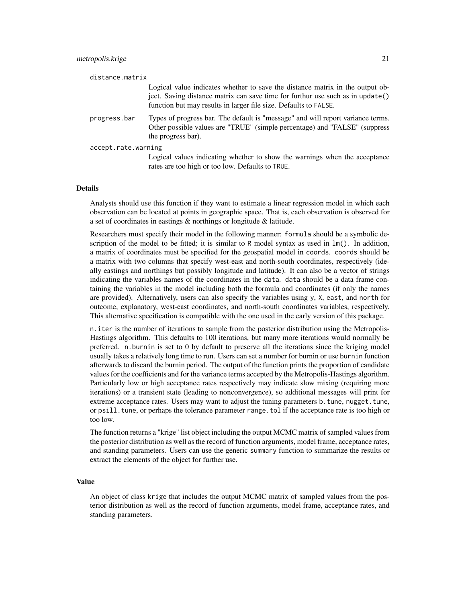| distance.matrix     |                                                                                                                                                                                                                                     |
|---------------------|-------------------------------------------------------------------------------------------------------------------------------------------------------------------------------------------------------------------------------------|
|                     | Logical value indicates whether to save the distance matrix in the output ob-<br>ject. Saving distance matrix can save time for furthur use such as in update()<br>function but may results in larger file size. Defaults to FALSE. |
| progress.bar        | Types of progress bar. The default is "message" and will report variance terms.<br>Other possible values are "TRUE" (simple percentage) and "FALSE" (suppress<br>the progress bar).                                                 |
| accept.rate.warning |                                                                                                                                                                                                                                     |
|                     | Logical values indicating whether to show the warnings when the acceptance<br>rates are too high or too low. Defaults to TRUE.                                                                                                      |

#### Details

Analysts should use this function if they want to estimate a linear regression model in which each observation can be located at points in geographic space. That is, each observation is observed for a set of coordinates in eastings & northings or longitude & latitude.

Researchers must specify their model in the following manner: formula should be a symbolic description of the model to be fitted; it is similar to R model syntax as used in  $lm()$ . In addition, a matrix of coordinates must be specified for the geospatial model in coords. coords should be a matrix with two columns that specify west-east and north-south coordinates, respectively (ideally eastings and northings but possibly longitude and latitude). It can also be a vector of strings indicating the variables names of the coordinates in the data. data should be a data frame containing the variables in the model including both the formula and coordinates (if only the names are provided). Alternatively, users can also specify the variables using y, X, east, and north for outcome, explanatory, west-east coordinates, and north-south coordinates variables, respectively. This alternative specification is compatible with the one used in the early version of this package.

n.iter is the number of iterations to sample from the posterior distribution using the Metropolis-Hastings algorithm. This defaults to 100 iterations, but many more iterations would normally be preferred. n.burnin is set to 0 by default to preserve all the iterations since the kriging model usually takes a relatively long time to run. Users can set a number for burnin or use burnin function afterwards to discard the burnin period. The output of the function prints the proportion of candidate values for the coefficients and for the variance terms accepted by the Metropolis-Hastings algorithm. Particularly low or high acceptance rates respectively may indicate slow mixing (requiring more iterations) or a transient state (leading to nonconvergence), so additional messages will print for extreme acceptance rates. Users may want to adjust the tuning parameters b. tune, nugget. tune, or psill.tune, or perhaps the tolerance parameter range.tol if the acceptance rate is too high or too low.

The function returns a "krige" list object including the output MCMC matrix of sampled values from the posterior distribution as well as the record of function arguments, model frame, acceptance rates, and standing parameters. Users can use the generic summary function to summarize the results or extract the elements of the object for further use.

#### Value

An object of class krige that includes the output MCMC matrix of sampled values from the posterior distribution as well as the record of function arguments, model frame, acceptance rates, and standing parameters.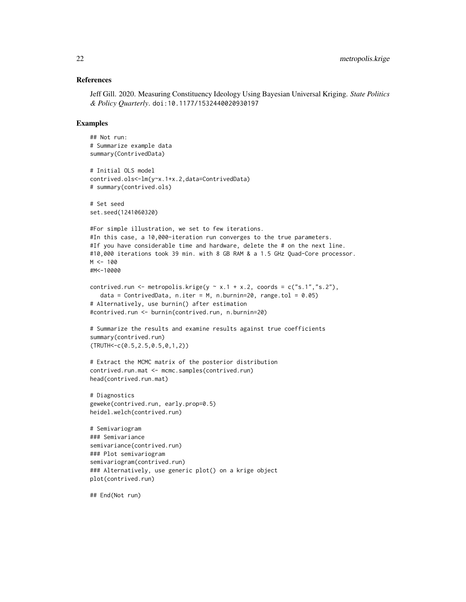#### References

Jeff Gill. 2020. Measuring Constituency Ideology Using Bayesian Universal Kriging. *State Politics & Policy Quarterly*. doi:10.1177/1532440020930197

#### Examples

```
## Not run:
# Summarize example data
summary(ContrivedData)
# Initial OLS model
contrived.ols<-lm(y~x.1+x.2,data=ContrivedData)
# summary(contrived.ols)
# Set seed
set.seed(1241060320)
#For simple illustration, we set to few iterations.
#In this case, a 10,000-iteration run converges to the true parameters.
#If you have considerable time and hardware, delete the # on the next line.
#10,000 iterations took 39 min. with 8 GB RAM & a 1.5 GHz Quad-Core processor.
M < - 100#M<-10000
contrived.run <- metropolis.krige(y \sim x.1 + x.2, coords = c("s.1","s.2"),
   data = ContrivedData, n.iter = M, n.burnin=20, range.tol = 0.05)
# Alternatively, use burnin() after estimation
#contrived.run <- burnin(contrived.run, n.burnin=20)
# Summarize the results and examine results against true coefficients
summary(contrived.run)
(TRUTH<-c(0.5,2.5,0.5,0,1,2))
# Extract the MCMC matrix of the posterior distribution
contrived.run.mat <- mcmc.samples(contrived.run)
head(contrived.run.mat)
# Diagnostics
geweke(contrived.run, early.prop=0.5)
heidel.welch(contrived.run)
# Semivariogram
### Semivariance
semivariance(contrived.run)
### Plot semivariogram
semivariogram(contrived.run)
### Alternatively, use generic plot() on a krige object
plot(contrived.run)
## End(Not run)
```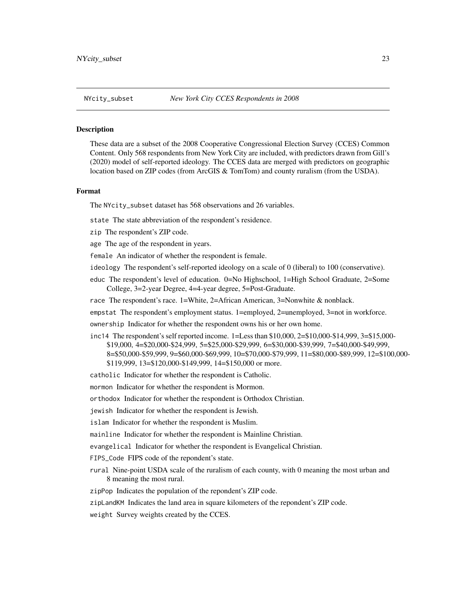#### <span id="page-22-0"></span>Description

These data are a subset of the 2008 Cooperative Congressional Election Survey (CCES) Common Content. Only 568 respondents from New York City are included, with predictors drawn from Gill's (2020) model of self-reported ideology. The CCES data are merged with predictors on geographic location based on ZIP codes (from ArcGIS & TomTom) and county ruralism (from the USDA).

#### Format

The NYcity\_subset dataset has 568 observations and 26 variables.

state The state abbreviation of the respondent's residence.

zip The respondent's ZIP code.

age The age of the respondent in years.

female An indicator of whether the respondent is female.

- ideology The respondent's self-reported ideology on a scale of 0 (liberal) to 100 (conservative).
- educ The respondent's level of education. 0=No Highschool, 1=High School Graduate, 2=Some College, 3=2-year Degree, 4=4-year degree, 5=Post-Graduate.
- race The respondent's race. 1=White, 2=African American, 3=Nonwhite & nonblack.
- empstat The respondent's employment status. 1=employed, 2=unemployed, 3=not in workforce.

ownership Indicator for whether the respondent owns his or her own home.

inc14 The respondent's self reported income. 1=Less than \$10,000, 2=\$10,000-\$14,999, 3=\$15,000- \$19,000, 4=\$20,000-\$24,999, 5=\$25,000-\$29,999, 6=\$30,000-\$39,999, 7=\$40,000-\$49,999, 8=\$50,000-\$59,999, 9=\$60,000-\$69,999, 10=\$70,000-\$79,999, 11=\$80,000-\$89,999, 12=\$100,000- \$119,999, 13=\$120,000-\$149,999, 14=\$150,000 or more.

catholic Indicator for whether the respondent is Catholic.

mormon Indicator for whether the respondent is Mormon.

orthodox Indicator for whether the respondent is Orthodox Christian.

jewish Indicator for whether the respondent is Jewish.

islam Indicator for whether the respondent is Muslim.

mainline Indicator for whether the respondent is Mainline Christian.

evangelical Indicator for whether the respondent is Evangelical Christian.

FIPS\_Code FIPS code of the repondent's state.

rural Nine-point USDA scale of the ruralism of each county, with 0 meaning the most urban and 8 meaning the most rural.

zipPop Indicates the population of the repondent's ZIP code.

zipLandKM Indicates the land area in square kilometers of the repondent's ZIP code.

weight Survey weights created by the CCES.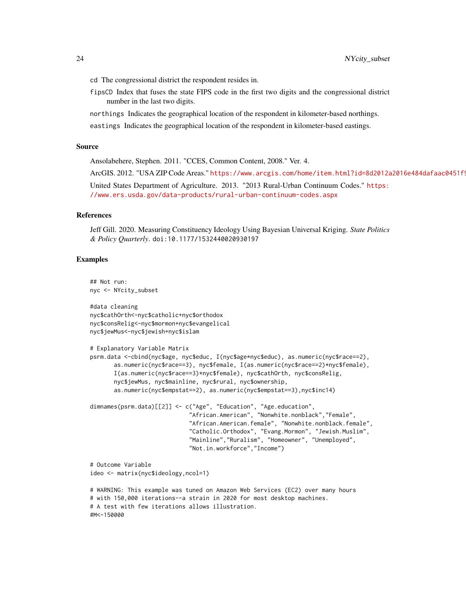cd The congressional district the respondent resides in.

fipsCD Index that fuses the state FIPS code in the first two digits and the congressional district number in the last two digits.

northings Indicates the geographical location of the respondent in kilometer-based northings.

eastings Indicates the geographical location of the respondent in kilometer-based eastings.

#### Source

Ansolabehere, Stephen. 2011. "CCES, Common Content, 2008." Ver. 4.

ArcGIS. 2012. "USA ZIP Code Areas." https://www.arcgis.com/home/item.html?id=8d2012a2016e484dafaac0451f!

United States Department of Agriculture. 2013. "2013 Rural-Urban Continuum Codes." [https:](https://www.ers.usda.gov/data-products/rural-urban-continuum-codes.aspx) [//www.ers.usda.gov/data-products/rural-urban-continuum-codes.aspx](https://www.ers.usda.gov/data-products/rural-urban-continuum-codes.aspx)

#### References

Jeff Gill. 2020. Measuring Constituency Ideology Using Bayesian Universal Kriging. *State Politics & Policy Quarterly*. doi:10.1177/1532440020930197

#### Examples

```
## Not run:
nyc <- NYcity_subset
#data cleaning
nyc$cathOrth<-nyc$catholic+nyc$orthodox
nyc$consRelig<-nyc$mormon+nyc$evangelical
nyc$jewMus<-nyc$jewish+nyc$islam
# Explanatory Variable Matrix
psrm.data <-cbind(nyc$age, nyc$educ, I(nyc$age*nyc$educ), as.numeric(nyc$race==2),
      as.numeric(nyc$race==3), nyc$female, I(as.numeric(nyc$race==2)*nyc$female),
      I(as.numeric(nyc$race==3)*nyc$female), nyc$cathOrth, nyc$consRelig,
      nyc$jewMus, nyc$mainline, nyc$rural, nyc$ownership,
      as.numeric(nyc$empstat==2), as.numeric(nyc$empstat==3),nyc$inc14)
dimnames(psrm.data)[[2]] <- c("Age", "Education", "Age.education",
                             "African.American", "Nonwhite.nonblack","Female",
                             "African.American.female", "Nonwhite.nonblack.female",
                             "Catholic.Orthodox", "Evang.Mormon", "Jewish.Muslim",
                             "Mainline","Ruralism", "Homeowner", "Unemployed",
                             "Not.in.workforce","Income")
# Outcome Variable
ideo <- matrix(nyc$ideology,ncol=1)
# WARNING: This example was tuned on Amazon Web Services (EC2) over many hours
# with 150,000 iterations--a strain in 2020 for most desktop machines.
# A test with few iterations allows illustration.
#M<-150000
```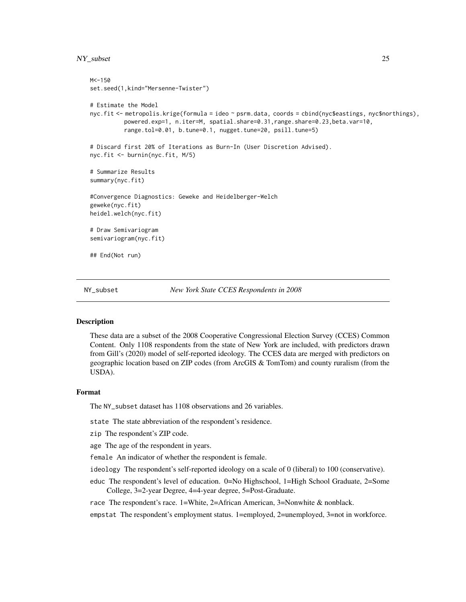#### <span id="page-24-0"></span>NY\_subset 25

```
M < -150set.seed(1,kind="Mersenne-Twister")
# Estimate the Model
nyc.fit <- metropolis.krige(formula = ideo ~ psrm.data, coords = cbind(nyc$eastings, nyc$northings),
          powered.exp=1, n.iter=M, spatial.share=0.31,range.share=0.23,beta.var=10,
          range.tol=0.01, b.tune=0.1, nugget.tune=20, psill.tune=5)
# Discard first 20% of Iterations as Burn-In (User Discretion Advised).
nyc.fit <- burnin(nyc.fit, M/5)
# Summarize Results
summary(nyc.fit)
#Convergence Diagnostics: Geweke and Heidelberger-Welch
geweke(nyc.fit)
heidel.welch(nyc.fit)
# Draw Semivariogram
semivariogram(nyc.fit)
## End(Not run)
```
NY\_subset *New York State CCES Respondents in 2008*

#### **Description**

These data are a subset of the 2008 Cooperative Congressional Election Survey (CCES) Common Content. Only 1108 respondents from the state of New York are included, with predictors drawn from Gill's (2020) model of self-reported ideology. The CCES data are merged with predictors on geographic location based on ZIP codes (from ArcGIS & TomTom) and county ruralism (from the USDA).

#### Format

The NY\_subset dataset has 1108 observations and 26 variables.

state The state abbreviation of the respondent's residence.

- zip The respondent's ZIP code.
- age The age of the respondent in years.

female An indicator of whether the respondent is female.

- ideology The respondent's self-reported ideology on a scale of 0 (liberal) to 100 (conservative).
- educ The respondent's level of education. 0=No Highschool, 1=High School Graduate, 2=Some College, 3=2-year Degree, 4=4-year degree, 5=Post-Graduate.

race The respondent's race. 1=White, 2=African American, 3=Nonwhite & nonblack.

empstat The respondent's employment status. 1=employed, 2=unemployed, 3=not in workforce.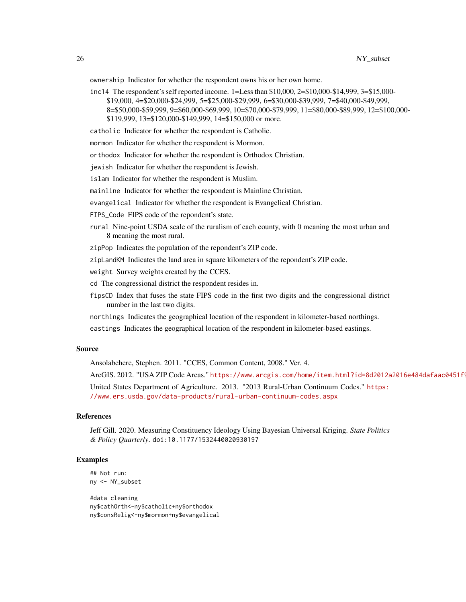ownership Indicator for whether the respondent owns his or her own home.

inc14 The respondent's self reported income. 1=Less than \$10,000, 2=\$10,000-\$14,999, 3=\$15,000- \$19,000, 4=\$20,000-\$24,999, 5=\$25,000-\$29,999, 6=\$30,000-\$39,999, 7=\$40,000-\$49,999, 8=\$50,000-\$59,999, 9=\$60,000-\$69,999, 10=\$70,000-\$79,999, 11=\$80,000-\$89,999, 12=\$100,000- \$119,999, 13=\$120,000-\$149,999, 14=\$150,000 or more.

catholic Indicator for whether the respondent is Catholic.

mormon Indicator for whether the respondent is Mormon.

orthodox Indicator for whether the respondent is Orthodox Christian.

jewish Indicator for whether the respondent is Jewish.

islam Indicator for whether the respondent is Muslim.

mainline Indicator for whether the respondent is Mainline Christian.

evangelical Indicator for whether the respondent is Evangelical Christian.

FIPS\_Code FIPS code of the repondent's state.

rural Nine-point USDA scale of the ruralism of each county, with 0 meaning the most urban and 8 meaning the most rural.

zipPop Indicates the population of the repondent's ZIP code.

zipLandKM Indicates the land area in square kilometers of the repondent's ZIP code.

weight Survey weights created by the CCES.

cd The congressional district the respondent resides in.

fipsCD Index that fuses the state FIPS code in the first two digits and the congressional district number in the last two digits.

northings Indicates the geographical location of the respondent in kilometer-based northings.

eastings Indicates the geographical location of the respondent in kilometer-based eastings.

#### Source

Ansolabehere, Stephen. 2011. "CCES, Common Content, 2008." Ver. 4.

ArcGIS. 2012. "USA ZIP Code Areas." https://www.arcgis.com/home/item.html?id=8d2012a2016e484dafaac0451f!

United States Department of Agriculture. 2013. "2013 Rural-Urban Continuum Codes." [https:](https://www.ers.usda.gov/data-products/rural-urban-continuum-codes.aspx) [//www.ers.usda.gov/data-products/rural-urban-continuum-codes.aspx](https://www.ers.usda.gov/data-products/rural-urban-continuum-codes.aspx)

#### References

Jeff Gill. 2020. Measuring Constituency Ideology Using Bayesian Universal Kriging. *State Politics & Policy Quarterly*. doi:10.1177/1532440020930197

#### Examples

## Not run: ny <- NY\_subset

#data cleaning ny\$cathOrth<-ny\$catholic+ny\$orthodox ny\$consRelig<-ny\$mormon+ny\$evangelical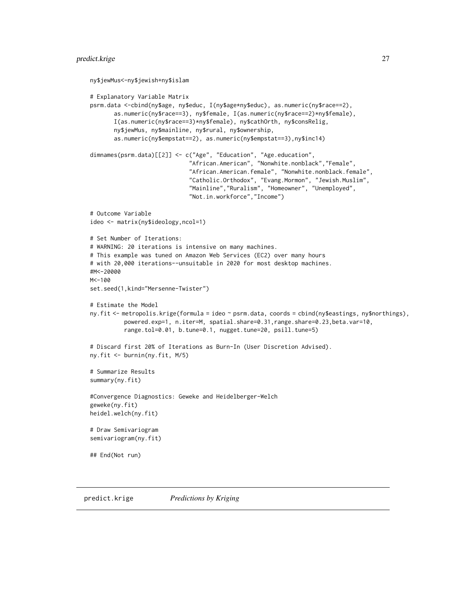#### <span id="page-26-0"></span>predict.krige 27

```
ny$jewMus<-ny$jewish+ny$islam
# Explanatory Variable Matrix
psrm.data <-cbind(ny$age, ny$educ, I(ny$age*ny$educ), as.numeric(ny$race==2),
      as.numeric(ny$race==3), ny$female, I(as.numeric(ny$race==2)*ny$female),
      I(as.numeric(ny$race==3)*ny$female), ny$cathOrth, ny$consRelig,
      ny$jewMus, ny$mainline, ny$rural, ny$ownership,
      as.numeric(ny$empstat==2), as.numeric(ny$empstat==3),ny$inc14)
dimnames(psrm.data)[[2]] <- c("Age", "Education", "Age.education",
                             "African.American", "Nonwhite.nonblack","Female",
                             "African.American.female", "Nonwhite.nonblack.female",
                             "Catholic.Orthodox", "Evang.Mormon", "Jewish.Muslim",
                             "Mainline","Ruralism", "Homeowner", "Unemployed",
                             "Not.in.workforce","Income")
# Outcome Variable
ideo <- matrix(ny$ideology,ncol=1)
# Set Number of Iterations:
# WARNING: 20 iterations is intensive on many machines.
# This example was tuned on Amazon Web Services (EC2) over many hours
# with 20,000 iterations--unsuitable in 2020 for most desktop machines.
#M<-20000
M < -100set.seed(1,kind="Mersenne-Twister")
# Estimate the Model
ny.fit <- metropolis.krige(formula = ideo ~ psrm.data, coords = cbind(ny$eastings, ny$northings),
          powered.exp=1, n.iter=M, spatial.share=0.31,range.share=0.23,beta.var=10,
          range.tol=0.01, b.tune=0.1, nugget.tune=20, psill.tune=5)
# Discard first 20% of Iterations as Burn-In (User Discretion Advised).
ny.fit <- burnin(ny.fit, M/5)
# Summarize Results
summary(ny.fit)
#Convergence Diagnostics: Geweke and Heidelberger-Welch
geweke(ny.fit)
heidel.welch(ny.fit)
# Draw Semivariogram
semivariogram(ny.fit)
## End(Not run)
```
predict.krige *Predictions by Kriging*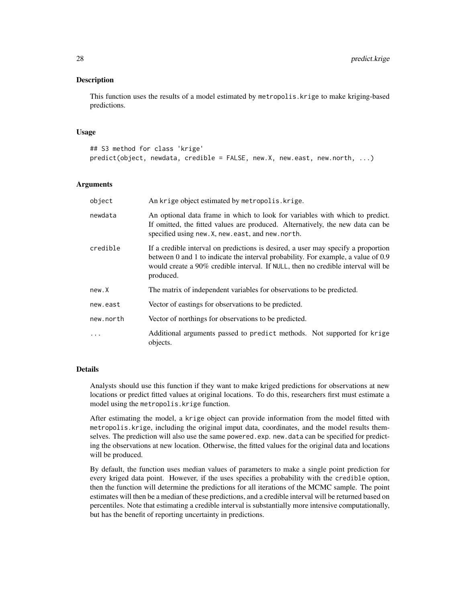#### Description

This function uses the results of a model estimated by metropolis.krige to make kriging-based predictions.

#### Usage

```
## S3 method for class 'krige'
predict(object, newdata, credible = FALSE, new.X, new.east, new.north, ...)
```
#### Arguments

| object    | An krige object estimated by metropolis. krige.                                                                                                                                                                                                                         |  |
|-----------|-------------------------------------------------------------------------------------------------------------------------------------------------------------------------------------------------------------------------------------------------------------------------|--|
| newdata   | An optional data frame in which to look for variables with which to predict.<br>If omitted, the fitted values are produced. Alternatively, the new data can be<br>specified using new. X, new. east, and new. north.                                                    |  |
| credible  | If a credible interval on predictions is desired, a user may specify a proportion<br>between 0 and 1 to indicate the interval probability. For example, a value of 0.9<br>would create a 90% credible interval. If NULL, then no credible interval will be<br>produced. |  |
| new.X     | The matrix of independent variables for observations to be predicted.                                                                                                                                                                                                   |  |
| new.east  | Vector of eastings for observations to be predicted.                                                                                                                                                                                                                    |  |
| new.north | Vector of northings for observations to be predicted.                                                                                                                                                                                                                   |  |
| $\cdot$   | Additional arguments passed to predict methods. Not supported for krige<br>objects.                                                                                                                                                                                     |  |

#### Details

Analysts should use this function if they want to make kriged predictions for observations at new locations or predict fitted values at original locations. To do this, researchers first must estimate a model using the metropolis.krige function.

After estimating the model, a krige object can provide information from the model fitted with metropolis.krige, including the original imput data, coordinates, and the model results themselves. The prediction will also use the same powered.exp. new.data can be specified for predicting the observations at new location. Otherwise, the fitted values for the original data and locations will be produced.

By default, the function uses median values of parameters to make a single point prediction for every kriged data point. However, if the uses specifies a probability with the credible option, then the function will determine the predictions for all iterations of the MCMC sample. The point estimates will then be a median of these predictions, and a credible interval will be returned based on percentiles. Note that estimating a credible interval is substantially more intensive computationally, but has the benefit of reporting uncertainty in predictions.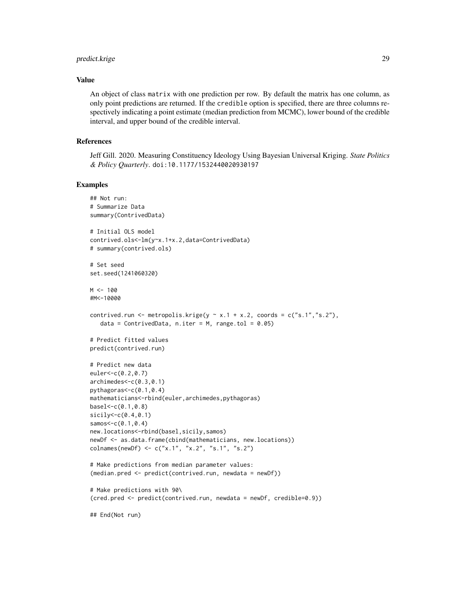#### predict.krige 29

#### Value

An object of class matrix with one prediction per row. By default the matrix has one column, as only point predictions are returned. If the credible option is specified, there are three columns respectively indicating a point estimate (median prediction from MCMC), lower bound of the credible interval, and upper bound of the credible interval.

#### References

Jeff Gill. 2020. Measuring Constituency Ideology Using Bayesian Universal Kriging. *State Politics & Policy Quarterly*. doi:10.1177/1532440020930197

#### Examples

```
## Not run:
# Summarize Data
summary(ContrivedData)
# Initial OLS model
contrived.ols<-lm(y~x.1+x.2,data=ContrivedData)
# summary(contrived.ols)
# Set seed
set.seed(1241060320)
M < - 100#M<-10000
contrived.run <- metropolis.krige(y \sim x.1 + x.2, coords = c("s.1","s.2"),
   data = ContrivedData, n.iter = M, range.tol = 0.05)
# Predict fitted values
predict(contrived.run)
# Predict new data
euler<-c(0.2,0.7)
archimedes<-c(0.3,0.1)
pythagoras<-c(0.1,0.4)
mathematicians<-rbind(euler,archimedes,pythagoras)
base1 < -c(0.1, 0.8)sicily<-c(0.4,0.1)
sames < -c(0.1, 0.4)new.locations<-rbind(basel,sicily,samos)
newDf <- as.data.frame(cbind(mathematicians, new.locations))
colnames(newDf) <- c("x.1", "x.2", "s.1", "s.2")
# Make predictions from median parameter values:
(median.pred <- predict(contrived.run, newdata = newDf))
# Make predictions with 90\
(cred.pred <- predict(contrived.run, newdata = newDf, credible=0.9))
## End(Not run)
```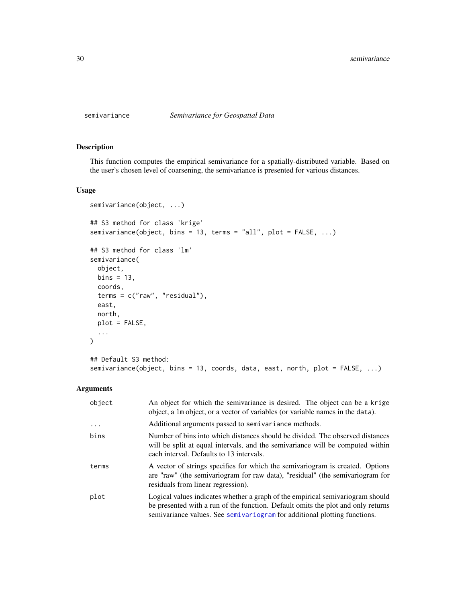<span id="page-29-1"></span><span id="page-29-0"></span>

#### Description

This function computes the empirical semivariance for a spatially-distributed variable. Based on the user's chosen level of coarsening, the semivariance is presented for various distances.

#### Usage

```
semivariance(object, ...)
## S3 method for class 'krige'
semivariance(object, bins = 13, terms = "all", plot = FALSE, ...)
## S3 method for class 'lm'
semivariance(
 object,
 bins = 13,
 coords,
 terms = c("raw", "residual"),
 east,
 north,
 plot = FALSE,
  ...
)
## Default S3 method:
```
#### Arguments

| object   | An object for which the semivariance is desired. The object can be a krige<br>object, a 1m object, or a vector of variables (or variable names in the data).                                                                                    |
|----------|-------------------------------------------------------------------------------------------------------------------------------------------------------------------------------------------------------------------------------------------------|
| $\cdots$ | Additional arguments passed to semivariance methods.                                                                                                                                                                                            |
| bins     | Number of bins into which distances should be divided. The observed distances<br>will be split at equal intervals, and the semivariance will be computed within<br>each interval. Defaults to 13 intervals.                                     |
| terms    | A vector of strings specifies for which the semivariogram is created. Options<br>are "raw" (the semivariogram for raw data), "residual" (the semivariogram for<br>residuals from linear regression).                                            |
| plot     | Logical values indicates whether a graph of the empirical semivariogram should<br>be presented with a run of the function. Default omits the plot and only returns<br>semivariance values. See semivariogram for additional plotting functions. |

semivariance(object, bins = 13, coords, data, east, north, plot = FALSE, ...)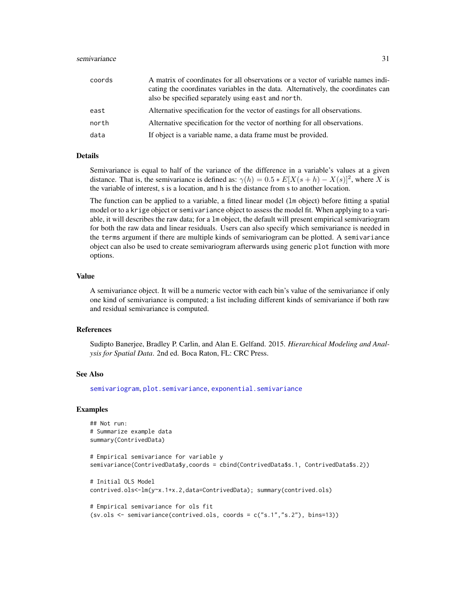#### <span id="page-30-0"></span>semivariance 31 and 31 and 32 and 32 and 32 and 33 and 33 and 33 and 33 and 33 and 34 and 34 and 34 and 35 and 35 and 35 and 36 and 36 and 36 and 36 and 36 and 36 and 36 and 36 and 36 and 36 and 36 and 36 and 36 and 36 and

| coords | A matrix of coordinates for all observations or a vector of variable names indi-<br>cating the coordinates variables in the data. Alternatively, the coordinates can<br>also be specified separately using east and north. |
|--------|----------------------------------------------------------------------------------------------------------------------------------------------------------------------------------------------------------------------------|
| east   | Alternative specification for the vector of eastings for all observations.                                                                                                                                                 |
| north  | Alternative specification for the vector of northing for all observations.                                                                                                                                                 |
| data   | If object is a variable name, a data frame must be provided.                                                                                                                                                               |

#### Details

Semivariance is equal to half of the variance of the difference in a variable's values at a given distance. That is, the semivariance is defined as:  $\gamma(h) = 0.5 * E[X(s+h) - X(s)]^2$ , where X is the variable of interest, s is a location, and h is the distance from s to another location.

The function can be applied to a variable, a fitted linear model (lm object) before fitting a spatial model or to a krige object or semivariance object to assess the model fit. When applying to a variable, it will describes the raw data; for a lm object, the default will present empirical semivariogram for both the raw data and linear residuals. Users can also specify which semivariance is needed in the terms argument if there are multiple kinds of semivariogram can be plotted. A semivariance object can also be used to create semivariogram afterwards using generic plot function with more options.

#### Value

A semivariance object. It will be a numeric vector with each bin's value of the semivariance if only one kind of semivariance is computed; a list including different kinds of semivariance if both raw and residual semivariance is computed.

#### References

Sudipto Banerjee, Bradley P. Carlin, and Alan E. Gelfand. 2015. *Hierarchical Modeling and Analysis for Spatial Data*. 2nd ed. Boca Raton, FL: CRC Press.

#### See Also

[semivariogram](#page-31-1), [plot.semivariance](#page-31-2), [exponential.semivariance](#page-7-1)

#### Examples

```
## Not run:
# Summarize example data
summary(ContrivedData)
# Empirical semivariance for variable y
semivariance(ContrivedData$y,coords = cbind(ContrivedData$s.1, ContrivedData$s.2))
# Initial OLS Model
contrived.ols<-lm(y~x.1+x.2,data=ContrivedData); summary(contrived.ols)
# Empirical semivariance for ols fit
(sv.ols <- semivariance(contrived.ols, coords = c("s.1","s.2"), bins=13))
```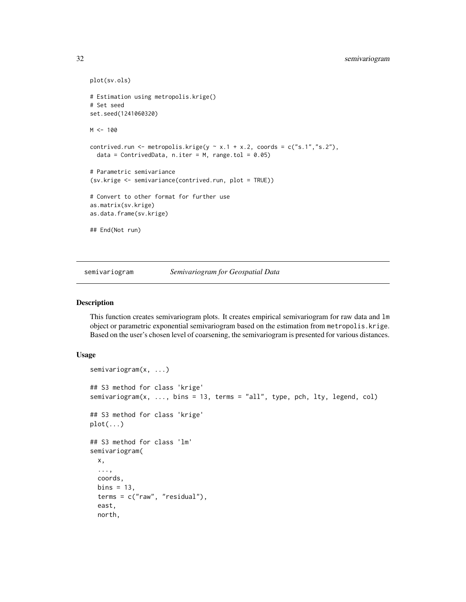```
plot(sv.ols)
# Estimation using metropolis.krige()
# Set seed
set.seed(1241060320)
M < - 100contrived.run <- metropolis.krige(y \sim x.1 + x.2, coords = c("s.1","s.2"),
  data = ContrivedData, n.iter = M, range.tol = 0.05)
# Parametric semivariance
(sv.krige <- semivariance(contrived.run, plot = TRUE))
# Convert to other format for further use
as.matrix(sv.krige)
as.data.frame(sv.krige)
## End(Not run)
```
<span id="page-31-1"></span>semivariogram *Semivariogram for Geospatial Data*

#### <span id="page-31-2"></span>Description

This function creates semivariogram plots. It creates empirical semivariogram for raw data and lm object or parametric exponential semivariogram based on the estimation from metropolis.krige. Based on the user's chosen level of coarsening, the semivariogram is presented for various distances.

#### Usage

```
semivariogram(x, ...)
## S3 method for class 'krige'
semivariogram(x, ..., bins = 13, terms = "all", type, pch, lty, legend, col)
## S3 method for class 'krige'
plot(...)
## S3 method for class 'lm'
semivariogram(
  x,
  ...,
 coords,
  bins = 13,
  terms = c("raw", "residual"),
  east,
  north,
```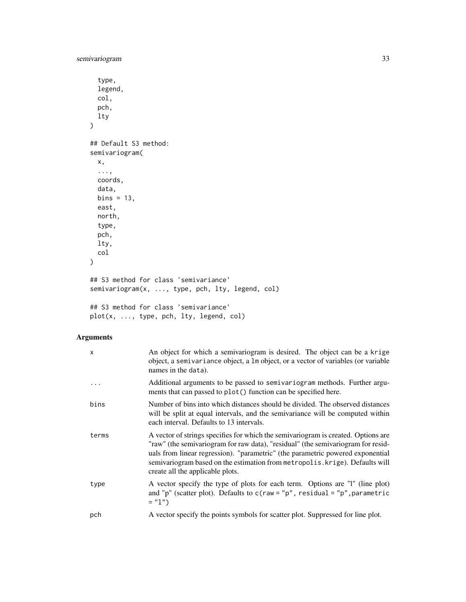semivariogram 33

```
type,
  legend,
 col,
 pch,
 lty
)
## Default S3 method:
semivariogram(
 x,
 ...,
 coords,
 data,
 bins = 13,
 east,
 north,
 type,
 pch,
 lty,
 col
)
## S3 method for class 'semivariance'
semivariogram(x, ..., type, pch, lty, legend, col)
## S3 method for class 'semivariance'
plot(x, ..., type, pch, lty, legend, col)
```
#### Arguments

| $\mathsf{x}$ | An object for which a semivariogram is desired. The object can be a krige<br>object, a semivariance object, a 1m object, or a vector of variables (or variable<br>names in the data).                                                                                                                                                                                       |
|--------------|-----------------------------------------------------------------------------------------------------------------------------------------------------------------------------------------------------------------------------------------------------------------------------------------------------------------------------------------------------------------------------|
|              | Additional arguments to be passed to semivariogram methods. Further argu-<br>ments that can passed to plot() function can be specified here.                                                                                                                                                                                                                                |
| bins         | Number of bins into which distances should be divided. The observed distances<br>will be split at equal intervals, and the semivariance will be computed within<br>each interval. Defaults to 13 intervals.                                                                                                                                                                 |
| terms        | A vector of strings specifies for which the semivariogram is created. Options are<br>"raw" (the semivariogram for raw data), "residual" (the semivariogram for resid-<br>uals from linear regression). "parametric" (the parametric powered exponential<br>semivariogram based on the estimation from metropolis. krige). Defaults will<br>create all the applicable plots. |
| type         | A vector specify the type of plots for each term. Options are "I" (line plot)<br>and "p" (scatter plot). Defaults to $c$ (raw = "p", residual = "p", parametric<br>$=$ "1")                                                                                                                                                                                                 |
| pch          | A vector specify the points symbols for scatter plot. Suppressed for line plot.                                                                                                                                                                                                                                                                                             |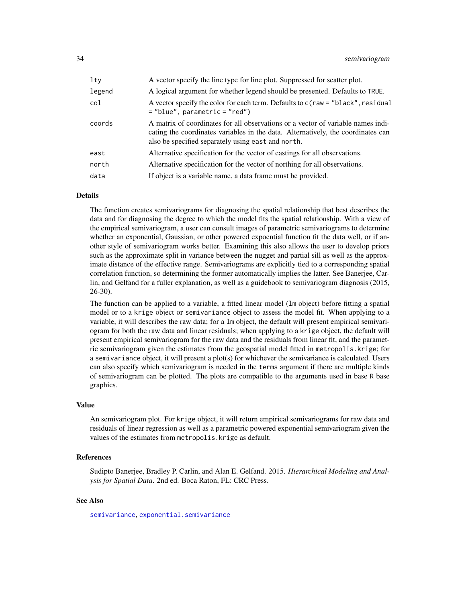<span id="page-33-0"></span>

| $1$ ty | A vector specify the line type for line plot. Suppressed for scatter plot.                                                                                                                                                 |  |
|--------|----------------------------------------------------------------------------------------------------------------------------------------------------------------------------------------------------------------------------|--|
| legend | A logical argument for whether legend should be presented. Defaults to TRUE.                                                                                                                                               |  |
| col    | A vector specify the color for each term. Defaults to $c$ (raw = "black", residual<br>$=$ "blue", parametric = "red")                                                                                                      |  |
| coords | A matrix of coordinates for all observations or a vector of variable names indi-<br>cating the coordinates variables in the data. Alternatively, the coordinates can<br>also be specified separately using east and north. |  |
| east   | Alternative specification for the vector of eastings for all observations.                                                                                                                                                 |  |
| north  | Alternative specification for the vector of northing for all observations.                                                                                                                                                 |  |
| data   | If object is a variable name, a data frame must be provided.                                                                                                                                                               |  |

#### Details

The function creates semivariograms for diagnosing the spatial relationship that best describes the data and for diagnosing the degree to which the model fits the spatial relationship. With a view of the empirical semivariogram, a user can consult images of parametric semivariograms to determine whether an exponential, Gaussian, or other powered expoential function fit the data well, or if another style of semivariogram works better. Examining this also allows the user to develop priors such as the approximate split in variance between the nugget and partial sill as well as the approximate distance of the effective range. Semivariograms are explicitly tied to a corresponding spatial correlation function, so determining the former automatically implies the latter. See Banerjee, Carlin, and Gelfand for a fuller explanation, as well as a guidebook to semivariogram diagnosis (2015, 26-30).

The function can be applied to a variable, a fitted linear model (lm object) before fitting a spatial model or to a krige object or semivariance object to assess the model fit. When applying to a variable, it will describes the raw data; for a lm object, the default will present empirical semivariogram for both the raw data and linear residuals; when applying to a krige object, the default will present empirical semivariogram for the raw data and the residuals from linear fit, and the parametric semivariogram given the estimates from the geospatial model fitted in metropolis.krige; for a semivariance object, it will present a plot(s) for whichever the semivariance is calculated. Users can also specify which semivariogram is needed in the terms argument if there are multiple kinds of semivariogram can be plotted. The plots are compatible to the arguments used in base R base graphics.

#### Value

An semivariogram plot. For krige object, it will return empirical semivariograms for raw data and residuals of linear regression as well as a parametric powered exponential semivariogram given the values of the estimates from metropolis.krige as default.

#### References

Sudipto Banerjee, Bradley P. Carlin, and Alan E. Gelfand. 2015. *Hierarchical Modeling and Analysis for Spatial Data*. 2nd ed. Boca Raton, FL: CRC Press.

#### See Also

[semivariance](#page-29-1), [exponential.semivariance](#page-7-1)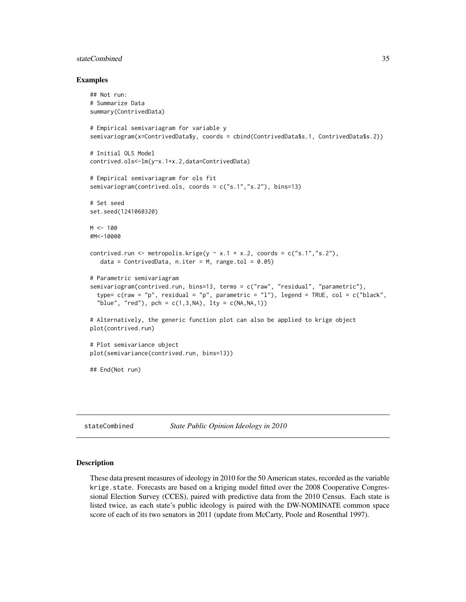#### <span id="page-34-0"></span>stateCombined 35

#### Examples

```
## Not run:
# Summarize Data
summary(ContrivedData)
# Empirical semivariagram for variable y
semivariogram(x=ContrivedData$y, coords = cbind(ContrivedData$s.1, ContrivedData$s.2))
# Initial OLS Model
contrived.ols<-lm(y~x.1+x.2,data=ContrivedData)
# Empirical semivariagram for ols fit
semivariogram(contrived.ols, coords = c("s.1","s.2"), bins=13)
# Set seed
set.seed(1241060320)
M < - 100#M<-10000
contrived.run <- metropolis.krige(y \sim x.1 + x.2, coords = c("s.1","s.2"),
  data = ContrivedData, n.iter = M, range.tol = 0.05)
# Parametric semivariagram
semivariogram(contrived.run, bins=13, terms = c("raw", "residual", "parametric"),
 type= c(raw = "p", residual = "p", parametric = "l"), legend = TRUE, col = c("black",
  "blue", "red"), pch = c(1,3,NA), lty = c(NA, NA, 1)# Alternatively, the generic function plot can also be applied to krige object
plot(contrived.run)
# Plot semivariance object
plot(semivariance(contrived.run, bins=13))
## End(Not run)
```
stateCombined *State Public Opinion Ideology in 2010*

#### Description

These data present measures of ideology in 2010 for the 50 American states, recorded as the variable krige.state. Forecasts are based on a kriging model fitted over the 2008 Cooperative Congressional Election Survey (CCES), paired with predictive data from the 2010 Census. Each state is listed twice, as each state's public ideology is paired with the DW-NOMINATE common space score of each of its two senators in 2011 (update from McCarty, Poole and Rosenthal 1997).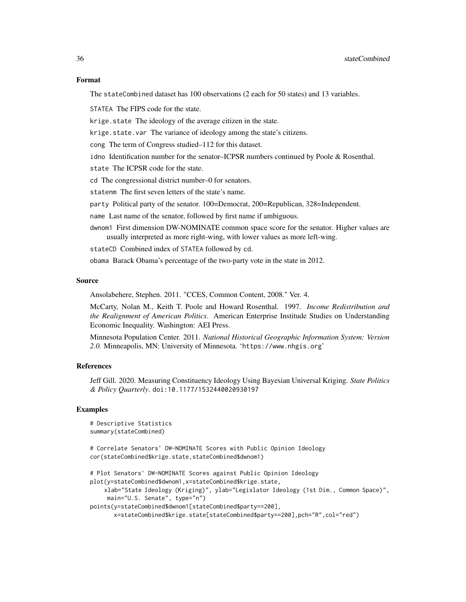#### Format

The stateCombined dataset has 100 observations (2 each for 50 states) and 13 variables.

STATEA The FIPS code for the state.

krige.state The ideology of the average citizen in the state.

krige.state.var The variance of ideology among the state's citizens.

cong The term of Congress studied–112 for this dataset.

idno Identification number for the senator–ICPSR numbers continued by Poole & Rosenthal.

state The ICPSR code for the state.

cd The congressional district number–0 for senators.

statenm The first seven letters of the state's name.

party Political party of the senator. 100=Democrat, 200=Republican, 328=Independent.

name Last name of the senator, followed by first name if ambiguous.

dwnom1 First dimension DW-NOMINATE common space score for the senator. Higher values are usually interpreted as more right-wing, with lower values as more left-wing.

stateCD Combined index of STATEA followed by cd.

obama Barack Obama's percentage of the two-party vote in the state in 2012.

#### Source

Ansolabehere, Stephen. 2011. "CCES, Common Content, 2008." Ver. 4.

McCarty, Nolan M., Keith T. Poole and Howard Rosenthal. 1997. *Income Redistribution and the Realignment of American Politics*. American Enterprise Institude Studies on Understanding Economic Inequality. Washington: AEI Press.

Minnesota Population Center. 2011. *National Historical Geographic Information System: Version 2.0.* Minneapolis, MN: University of Minnesota. 'https://www.nhgis.org'

#### References

Jeff Gill. 2020. Measuring Constituency Ideology Using Bayesian Universal Kriging. *State Politics & Policy Quarterly*. doi:10.1177/1532440020930197

#### Examples

```
# Descriptive Statistics
summary(stateCombined)
```
# Correlate Senators' DW-NOMINATE Scores with Public Opinion Ideology cor(stateCombined\$krige.state,stateCombined\$dwnom1)

```
# Plot Senators' DW-NOMINATE Scores against Public Opinion Ideology
plot(y=stateCombined$dwnom1,x=stateCombined$krige.state,
    xlab="State Ideology (Kriging)", ylab="Legislator Ideology (1st Dim., Common Space)",
    main="U.S. Senate", type="n")
points(y=stateCombined$dwnom1[stateCombined$party==200],
      x=stateCombined$krige.state[stateCombined$party==200],pch="R",col="red")
```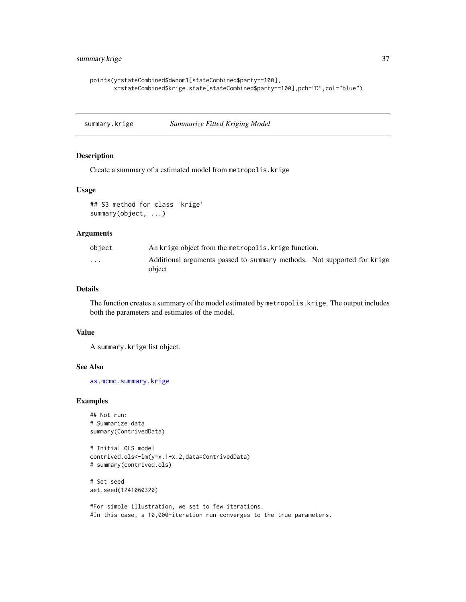```
points(y=stateCombined$dwnom1[stateCombined$party==100],
      x=stateCombined$krige.state[stateCombined$party==100],pch="D",col="blue")
```
summary.krige *Summarize Fitted Kriging Model*

#### Description

Create a summary of a estimated model from metropolis.krige

#### Usage

```
## S3 method for class 'krige'
summary(object, ...)
```
#### Arguments

| object | An krige object from the metropolis. krige function.                               |  |
|--------|------------------------------------------------------------------------------------|--|
| .      | Additional arguments passed to summary methods. Not supported for krige<br>object. |  |

#### Details

The function creates a summary of the model estimated by metropolis.krige. The output includes both the parameters and estimates of the model.

#### Value

A summary.krige list object.

#### See Also

[as.mcmc.summary.krige](#page-2-2)

#### Examples

```
## Not run:
# Summarize data
summary(ContrivedData)
```

```
# Initial OLS model
contrived.ols<-lm(y~x.1+x.2,data=ContrivedData)
# summary(contrived.ols)
```
# Set seed set.seed(1241060320)

```
#For simple illustration, we set to few iterations.
#In this case, a 10,000-iteration run converges to the true parameters.
```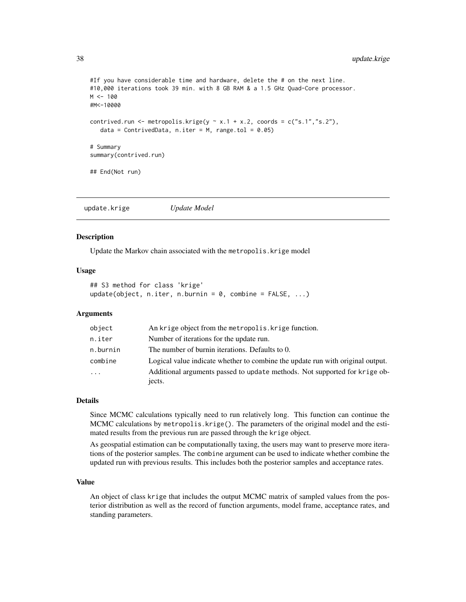#### <span id="page-37-0"></span>38 update.krige

```
#If you have considerable time and hardware, delete the # on the next line.
#10,000 iterations took 39 min. with 8 GB RAM & a 1.5 GHz Quad-Core processor.
M < - 100#M<-10000
contrived.run <- metropolis.krige(y \sim x.1 + x.2, coords = c("s.1","s.2"),
  data = ContrivedData, n.iter = M, range.tol = 0.05)
# Summary
summary(contrived.run)
## End(Not run)
```
update.krige *Update Model*

#### **Description**

Update the Markov chain associated with the metropolis.krige model

#### Usage

```
## S3 method for class 'krige'
update(object, n.iter, n.burnin = 0, combine = FALSE, ...)
```
#### Arguments

| object   | An krige object from the metropolis. Krige function.                           |  |
|----------|--------------------------------------------------------------------------------|--|
| n.iter   | Number of iterations for the update run.                                       |  |
| n.burnin | The number of burnin iterations. Defaults to 0.                                |  |
| combine  | Logical value indicate whether to combine the update run with original output. |  |
| $\cdots$ | Additional arguments passed to update methods. Not supported for krige ob-     |  |
|          | jects.                                                                         |  |

#### Details

Since MCMC calculations typically need to run relatively long. This function can continue the MCMC calculations by metropolis.krige(). The parameters of the original model and the estimated results from the previous run are passed through the krige object.

As geospatial estimation can be computationally taxing, the users may want to preserve more iterations of the posterior samples. The combine argument can be used to indicate whether combine the updated run with previous results. This includes both the posterior samples and acceptance rates.

#### Value

An object of class krige that includes the output MCMC matrix of sampled values from the posterior distribution as well as the record of function arguments, model frame, acceptance rates, and standing parameters.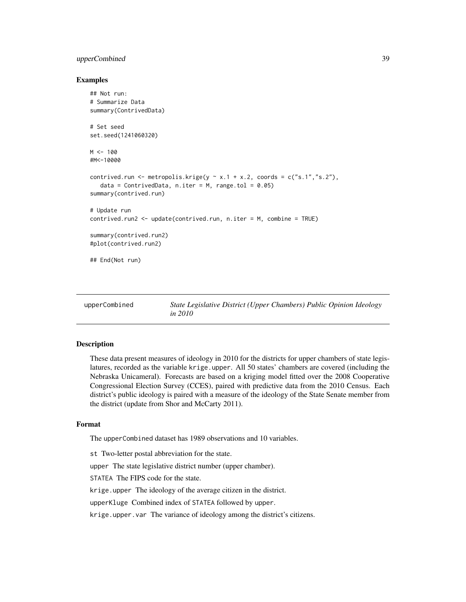#### <span id="page-38-0"></span>upperCombined 39

#### Examples

```
## Not run:
# Summarize Data
summary(ContrivedData)
# Set seed
set.seed(1241060320)
M < - 100#M<-10000
contrived.run <- metropolis.krige(y \sim x.1 + x.2, coords = c("s.1","s.2"),
   data = ContrivedData, n.iter = M, range.tol = 0.05)
summary(contrived.run)
# Update run
contrived.run2 <- update(contrived.run, n.iter = M, combine = TRUE)
summary(contrived.run2)
#plot(contrived.run2)
## End(Not run)
```

| upperCombined | State Legislative District (Upper Chambers) Public Opinion Ideology |
|---------------|---------------------------------------------------------------------|
|               | <i>in 2010</i>                                                      |

#### Description

These data present measures of ideology in 2010 for the districts for upper chambers of state legislatures, recorded as the variable krige.upper. All 50 states' chambers are covered (including the Nebraska Unicameral). Forecasts are based on a kriging model fitted over the 2008 Cooperative Congressional Election Survey (CCES), paired with predictive data from the 2010 Census. Each district's public ideology is paired with a measure of the ideology of the State Senate member from the district (update from Shor and McCarty 2011).

#### Format

The upperCombined dataset has 1989 observations and 10 variables.

st Two-letter postal abbreviation for the state.

upper The state legislative district number (upper chamber).

STATEA The FIPS code for the state.

krige.upper The ideology of the average citizen in the district.

upperKluge Combined index of STATEA followed by upper.

krige.upper.var The variance of ideology among the district's citizens.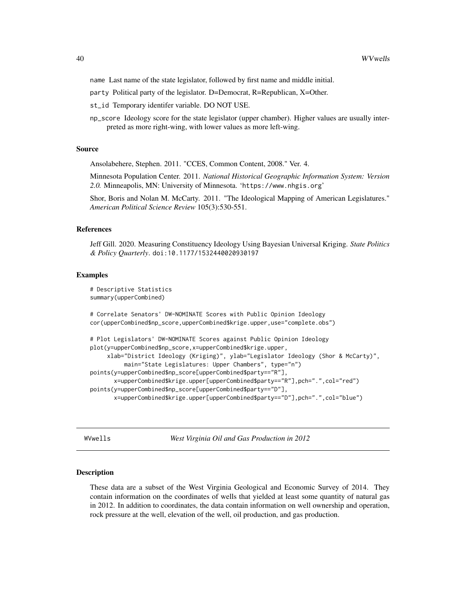<span id="page-39-0"></span>name Last name of the state legislator, followed by first name and middle initial.

party Political party of the legislator. D=Democrat, R=Republican, X=Other.

st\_id Temporary identifer variable. DO NOT USE.

np\_score Ideology score for the state legislator (upper chamber). Higher values are usually interpreted as more right-wing, with lower values as more left-wing.

#### Source

Ansolabehere, Stephen. 2011. "CCES, Common Content, 2008." Ver. 4.

Minnesota Population Center. 2011. *National Historical Geographic Information System: Version 2.0.* Minneapolis, MN: University of Minnesota. 'https://www.nhgis.org'

Shor, Boris and Nolan M. McCarty. 2011. "The Ideological Mapping of American Legislatures." *American Political Science Review* 105(3):530-551.

#### References

Jeff Gill. 2020. Measuring Constituency Ideology Using Bayesian Universal Kriging. *State Politics & Policy Quarterly*. doi:10.1177/1532440020930197

#### Examples

```
# Descriptive Statistics
summary(upperCombined)
```
# Correlate Senators' DW-NOMINATE Scores with Public Opinion Ideology cor(upperCombined\$np\_score,upperCombined\$krige.upper,use="complete.obs")

```
# Plot Legislators' DW-NOMINATE Scores against Public Opinion Ideology
plot(y=upperCombined$np_score,x=upperCombined$krige.upper,
     xlab="District Ideology (Kriging)", ylab="Legislator Ideology (Shor & McCarty)",
          main="State Legislatures: Upper Chambers", type="n")
points(y=upperCombined$np_score[upperCombined$party=="R"],
      x=upperCombined$krige.upper[upperCombined$party=="R"],pch=".",col="red")
points(y=upperCombined$np_score[upperCombined$party=="D"],
      x=upperCombined$krige.upper[upperCombined$party=="D"],pch=".",col="blue")
```
WVwells *West Virginia Oil and Gas Production in 2012*

#### Description

These data are a subset of the West Virginia Geological and Economic Survey of 2014. They contain information on the coordinates of wells that yielded at least some quantity of natural gas in 2012. In addition to coordinates, the data contain information on well ownership and operation, rock pressure at the well, elevation of the well, oil production, and gas production.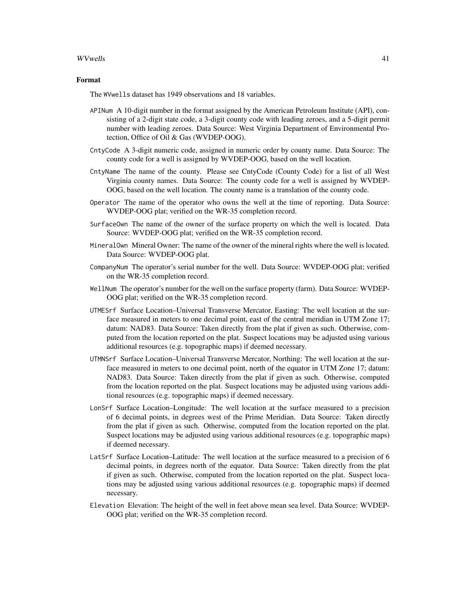#### WVwells 41

#### Format

The WVwells dataset has 1949 observations and 18 variables.

- APINum A 10-digit number in the format assigned by the American Petroleum Institute (API), consisting of a 2-digit state code, a 3-digit county code with leading zeroes, and a 5-digit permit number with leading zeroes. Data Source: West Virginia Department of Environmental Protection, Office of Oil & Gas (WVDEP-OOG).
- CntyCode A 3-digit numeric code, assigned in numeric order by county name. Data Source: The county code for a well is assigned by WVDEP-OOG, based on the well location.
- CntyName The name of the county. Please see CntyCode (County Code) for a list of all West Virginia county names. Data Source: The county code for a well is assigned by WVDEP-OOG, based on the well location. The county name is a translation of the county code.
- Operator The name of the operator who owns the well at the time of reporting. Data Source: WVDEP-OOG plat; verified on the WR-35 completion record.
- SurfaceOwn The name of the owner of the surface property on which the well is located. Data Source: WVDEP-OOG plat; verified on the WR-35 completion record.
- MineralOwn Mineral Owner: The name of the owner of the mineral rights where the well is located. Data Source: WVDEP-OOG plat.
- CompanyNum The operator's serial number for the well. Data Source: WVDEP-OOG plat; verified on the WR-35 completion record.
- WellNum The operator's number for the well on the surface property (farm). Data Source: WVDEP-OOG plat; verified on the WR-35 completion record.
- UTMESrf Surface Location–Universal Transverse Mercator, Easting: The well location at the surface measured in meters to one decimal point, east of the central meridian in UTM Zone 17; datum: NAD83. Data Source: Taken directly from the plat if given as such. Otherwise, computed from the location reported on the plat. Suspect locations may be adjusted using various additional resources (e.g. topographic maps) if deemed necessary.
- UTMNSrf Surface Location–Universal Transverse Mercator, Northing: The well location at the surface measured in meters to one decimal point, north of the equator in UTM Zone 17; datum: NAD83. Data Source: Taken directly from the plat if given as such. Otherwise, computed from the location reported on the plat. Suspect locations may be adjusted using various additional resources (e.g. topographic maps) if deemed necessary.
- LonSrf Surface Location–Longitude: The well location at the surface measured to a precision of 6 decimal points, in degrees west of the Prime Meridian. Data Source: Taken directly from the plat if given as such. Otherwise, computed from the location reported on the plat. Suspect locations may be adjusted using various additional resources (e.g. topographic maps) if deemed necessary.
- LatSrf Surface Location–Latitude: The well location at the surface measured to a precision of 6 decimal points, in degrees north of the equator. Data Source: Taken directly from the plat if given as such. Otherwise, computed from the location reported on the plat. Suspect locations may be adjusted using various additional resources (e.g. topographic maps) if deemed necessary.
- Elevation Elevation: The height of the well in feet above mean sea level. Data Source: WVDEP-OOG plat; verified on the WR-35 completion record.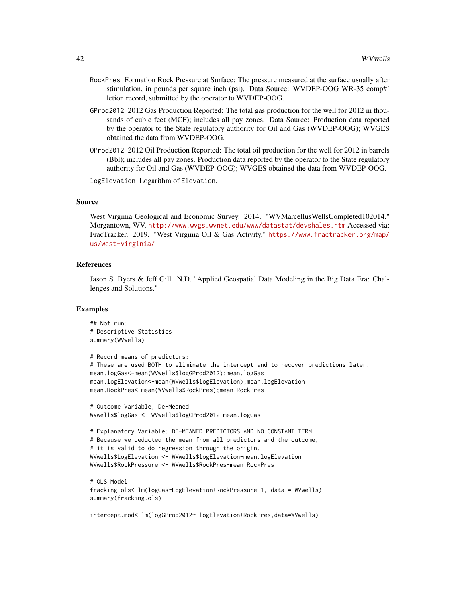- RockPres Formation Rock Pressure at Surface: The pressure measured at the surface usually after stimulation, in pounds per square inch (psi). Data Source: WVDEP-OOG WR-35 comp#' letion record, submitted by the operator to WVDEP-OOG.
- GProd2012 2012 Gas Production Reported: The total gas production for the well for 2012 in thousands of cubic feet (MCF); includes all pay zones. Data Source: Production data reported by the operator to the State regulatory authority for Oil and Gas (WVDEP-OOG); WVGES obtained the data from WVDEP-OOG.
- OProd2012 2012 Oil Production Reported: The total oil production for the well for 2012 in barrels (Bbl); includes all pay zones. Production data reported by the operator to the State regulatory authority for Oil and Gas (WVDEP-OOG); WVGES obtained the data from WVDEP-OOG.

logElevation Logarithm of Elevation.

#### Source

West Virginia Geological and Economic Survey. 2014. "WVMarcellusWellsCompleted102014." Morgantown, WV. <http://www.wvgs.wvnet.edu/www/datastat/devshales.htm> Accessed via: FracTracker. 2019. "West Virginia Oil & Gas Activity." [https://www.fractracker.org/map/](https://www.fractracker.org/map/us/west-virginia/) [us/west-virginia/](https://www.fractracker.org/map/us/west-virginia/)

#### References

Jason S. Byers & Jeff Gill. N.D. "Applied Geospatial Data Modeling in the Big Data Era: Challenges and Solutions."

#### Examples

```
## Not run:
# Descriptive Statistics
summary(WVwells)
# Record means of predictors:
# These are used BOTH to eliminate the intercept and to recover predictions later.
mean.logGas<-mean(WVwells$logGProd2012);mean.logGas
mean.logElevation<-mean(WVwells$logElevation);mean.logElevation
mean.RockPres<-mean(WVwells$RockPres);mean.RockPres
# Outcome Variable, De-Meaned
WVwells$logGas <- WVwells$logGProd2012-mean.logGas
# Explanatory Variable: DE-MEANED PREDICTORS AND NO CONSTANT TERM
# Because we deducted the mean from all predictors and the outcome,
# it is valid to do regression through the origin.
WVwells$LogElevation <- WVwells$logElevation-mean.logElevation
WVwells$RockPressure <- WVwells$RockPres-mean.RockPres
# OLS Model
fracking.ols<-lm(logGas~LogElevation+RockPressure-1, data = WVwells)
summary(fracking.ols)
intercept.mod<-lm(logGProd2012~ logElevation+RockPres,data=WVwells)
```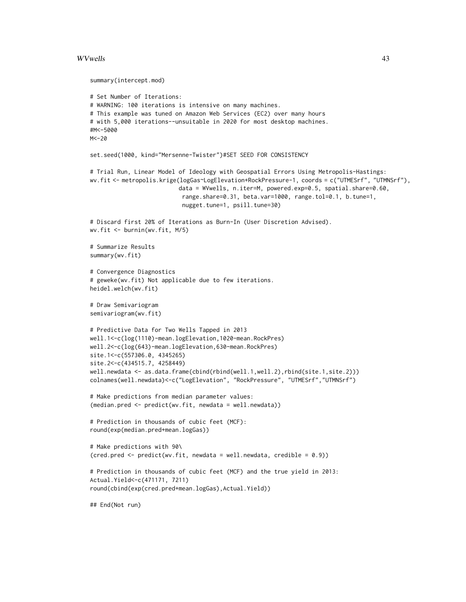#### WVwells 43

```
summary(intercept.mod)
# Set Number of Iterations:
# WARNING: 100 iterations is intensive on many machines.
# This example was tuned on Amazon Web Services (EC2) over many hours
# with 5,000 iterations--unsuitable in 2020 for most desktop machines.
#M<-5000
M < -20set.seed(1000, kind="Mersenne-Twister")#SET SEED FOR CONSISTENCY
# Trial Run, Linear Model of Ideology with Geospatial Errors Using Metropolis-Hastings:
wv.fit <- metropolis.krige(logGas~LogElevation+RockPressure-1, coords = c("UTMESrf", "UTMNSrf"),
                          data = WVwells, n.iter=M, powered.exp=0.5, spatial.share=0.60,
                           range.share=0.31, beta.var=1000, range.tol=0.1, b.tune=1,
                           nugget.tune=1, psill.tune=30)
# Discard first 20% of Iterations as Burn-In (User Discretion Advised).
wv.fit <- burnin(wv.fit, M/5)
# Summarize Results
summary(wv.fit)
# Convergence Diagnostics
# geweke(wv.fit) Not applicable due to few iterations.
heidel.welch(wv.fit)
# Draw Semivariogram
semivariogram(wv.fit)
# Predictive Data for Two Wells Tapped in 2013
well.1<-c(log(1110)-mean.logElevation,1020-mean.RockPres)
well.2<-c(log(643)-mean.logElevation,630-mean.RockPres)
site.1<-c(557306.0, 4345265)
site.2<-c(434515.7, 4258449)
well.newdata <- as.data.frame(cbind(rbind(well.1,well.2),rbind(site.1,site.2)))
colnames(well.newdata)<-c("LogElevation", "RockPressure", "UTMESrf","UTMNSrf")
# Make predictions from median parameter values:
(median.pred <- predict(wv.fit, newdata = well.newdata))
# Prediction in thousands of cubic feet (MCF):
round(exp(median.pred+mean.logGas))
# Make predictions with 90\
(cred.pred <- predict(wv.fit, newdata = well.newdata, credible = 0.9))
# Prediction in thousands of cubic feet (MCF) and the true yield in 2013:
Actual.Yield<-c(471171, 7211)
round(cbind(exp(cred.pred+mean.logGas),Actual.Yield))
## End(Not run)
```